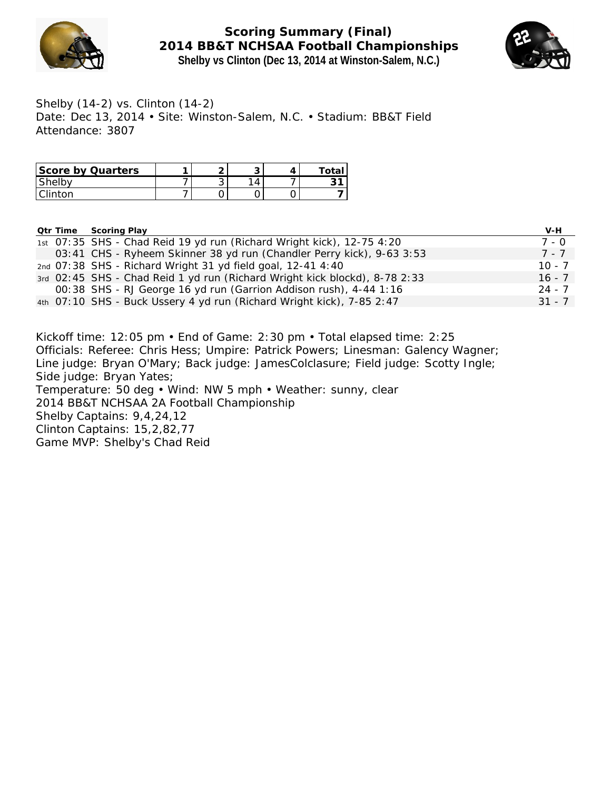

**Scoring Summary (Final) 2014 BB&T NCHSAA Football Championships Shelby vs Clinton (Dec 13, 2014 at Winston-Salem, N.C.)**



Shelby (14-2) vs. Clinton (14-2) Date: Dec 13, 2014 • Site: Winston-Salem, N.C. • Stadium: BB&T Field Attendance: 3807

| Score by Quarters | ⌒ | ∼ | ⊤ota∟ |
|-------------------|---|---|-------|
| Shelby            | ັ | ◢ |       |
| Clinton           |   |   |       |

**Qtr Time Scoring Play V-H**

|  | <u>Gu inno boorniging</u>                                                  |          |
|--|----------------------------------------------------------------------------|----------|
|  | 1st 07:35 SHS - Chad Reid 19 yd run (Richard Wright kick), 12-75 4:20      | 7 - 0    |
|  | 03:41 CHS - Ryheem Skinner 38 yd run (Chandler Perry kick), 9-63 3:53      | 7 - 7    |
|  | 2nd 07:38 SHS - Richard Wright 31 yd field goal, 12-41 4:40                | $10 - 7$ |
|  | 3rd 02:45 SHS - Chad Reid 1 yd run (Richard Wright kick blockd), 8-78 2:33 | $16 - 7$ |
|  | 00:38 SHS - RJ George 16 yd run (Garrion Addison rush), 4-44 1:16          | 24 - 7   |
|  | 4th 07:10 SHS - Buck Ussery 4 yd run (Richard Wright kick), 7-85 2:47      | $31 - 7$ |
|  |                                                                            |          |

Kickoff time: 12:05 pm • End of Game: 2:30 pm • Total elapsed time: 2:25 Officials: Referee: Chris Hess; Umpire: Patrick Powers; Linesman: Galency Wagner; Line judge: Bryan O'Mary; Back judge: JamesColclasure; Field judge: Scotty Ingle; Side judge: Bryan Yates; Temperature: 50 deg • Wind: NW 5 mph • Weather: sunny, clear 2014 BB&T NCHSAA 2A Football Championship Shelby Captains: 9,4,24,12 Clinton Captains: 15,2,82,77 Game MVP: Shelby's Chad Reid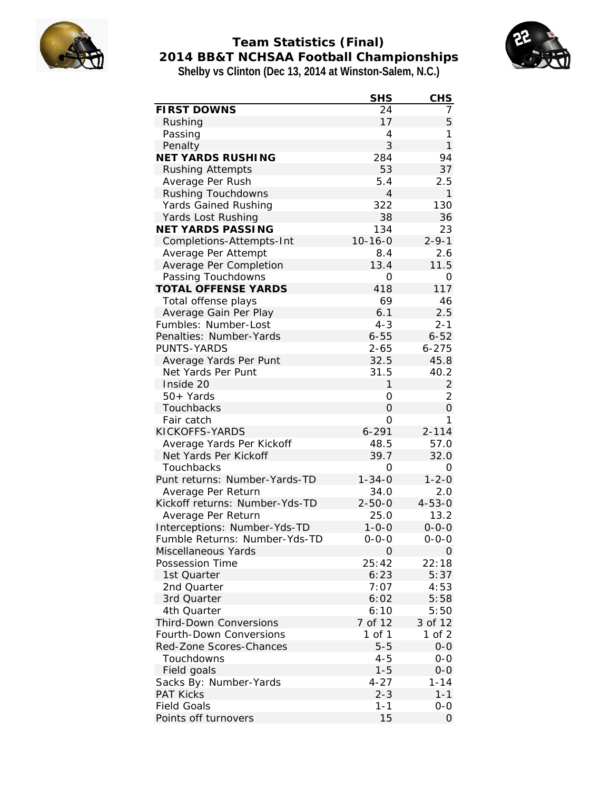

# **Team Statistics (Final) 2014 BB&T NCHSAA Football Championships Shelby vs Clinton (Dec 13, 2014 at Winston-Salem, N.C.)**



|                                | <b>SHS</b>    | CHS          |
|--------------------------------|---------------|--------------|
| <b>FIRST DOWNS</b>             | 24            | 7            |
| Rushing                        | 17            | 5            |
| Passing                        | 4             | 1            |
| Penalty                        | 3             | $\mathbf{1}$ |
| NET YARDS RUSHING              | 284           | 94           |
| <b>Rushing Attempts</b>        | 53            | 37           |
| Average Per Rush               | 5.4           | 2.5          |
| Rushing Touchdowns             | 4             | 1            |
| Yards Gained Rushing           | 322           | 130          |
| Yards Lost Rushing             | 38            | 36           |
| NET YARDS PASSING              | 134           | 23           |
| Completions-Attempts-Int       | $10 - 16 - 0$ | $2 - 9 - 1$  |
| Average Per Attempt            | 8.4           | 2.6          |
| Average Per Completion         | 13.4          | 11.5         |
| Passing Touchdowns             | 0             | 0            |
| <b>TOTAL OFFENSE YARDS</b>     | 418           | 117          |
| Total offense plays            | 69            | 46           |
| Average Gain Per Play          | 6.1           | 2.5          |
| Fumbles: Number-Lost           | $4 - 3$       | $2 - 1$      |
| Penalties: Number-Yards        | $6 - 55$      | $6 - 52$     |
| PUNTS-YARDS                    | $2 - 65$      | $6 - 275$    |
| Average Yards Per Punt         | 32.5          | 45.8         |
| Net Yards Per Punt             | 31.5          | 40.2         |
| Inside 20                      | 1             | 2            |
| 50+ Yards                      | 0             | 2            |
| Touchbacks                     | O             | 0            |
| Fair catch                     | 0             | 1            |
| KICKOFFS-YARDS                 | $6 - 291$     | $2 - 114$    |
| Average Yards Per Kickoff      | 48.5          | 57.0         |
| Net Yards Per Kickoff          | 39.7          | 32.0         |
| Touchbacks                     | 0             | 0            |
| Punt returns: Number-Yards-TD  | $1 - 34 - 0$  | $1 - 2 - 0$  |
| Average Per Return             | 34.0          | 2.0          |
| Kickoff returns: Number-Yds-TD | $2 - 50 - 0$  | $4 - 53 - 0$ |
| Average Per Return             | 25.0          | 13.2         |
| Interceptions: Number-Yds-TD   | $1 - 0 - 0$   | $0 - 0 - 0$  |
| Fumble Returns: Number-Yds-TD  | $0 - 0 - 0$   | $0 - 0 - 0$  |
| Miscellaneous Yards            | O             | 0            |
| Possession Time                | 25:42         | 22:18        |
| 1st Quarter                    | 6:23          | 5:37         |
| 2nd Quarter                    | 7:07          | 4:53         |
| 3rd Quarter                    | 6:02          | 5:58         |
| 4th Quarter                    | 6:10          | 5:50         |
| Third-Down Conversions         | 7 of 12       | 3 of 12      |
| Fourth-Down Conversions        | 1 of 1        | 1 of $2$     |
| Red-Zone Scores-Chances        | $5 - 5$       | $0 - 0$      |
| Touchdowns                     | $4 - 5$       | $0 - 0$      |
| Field goals                    | $1 - 5$       | $0-0$        |
| Sacks By: Number-Yards         | $4 - 27$      | $1 - 14$     |
| <b>PAT Kicks</b>               | $2 - 3$       | $1 - 1$      |
| <b>Field Goals</b>             | $1 - 1$       | $0 - 0$      |
| Points off turnovers           | 15            | 0            |
|                                |               |              |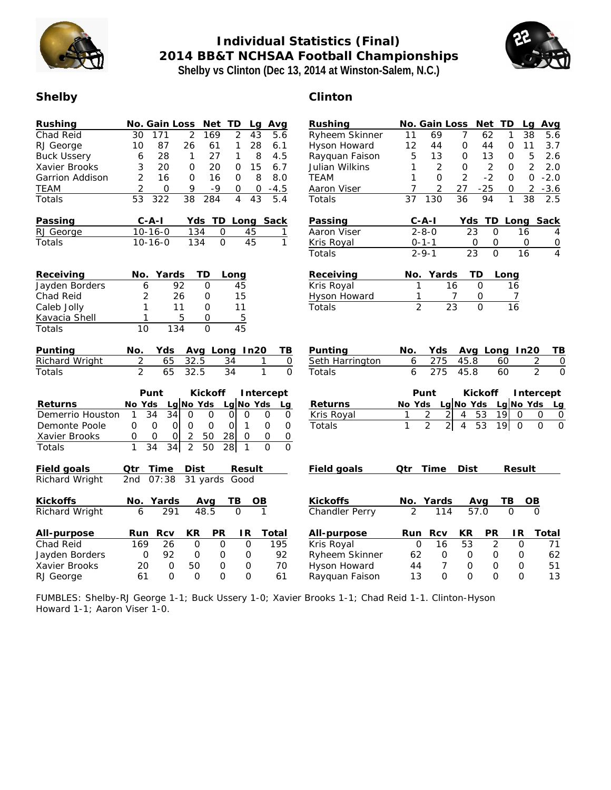

# **Individual Statistics (Final) 2014 BB&T NCHSAA Football Championships Shelby vs Clinton (Dec 13, 2014 at Winston-Salem, N.C.)**



# **Shelby Clinton**

| Rushing<br>Chad Reid<br>RJ George<br><b>Buck Ussery</b><br>Xavier Brooks<br>Garrion Addison<br><b>TEAM</b><br><b>Totals</b><br>Passing<br>RJ George<br>Totals | Net TD<br>No. Gain Loss<br>Lg<br>Avg<br>$\overline{2}$<br>$\overline{2}$<br>30<br>171<br>169<br>43<br>5.6<br>87<br>28<br>10<br>26<br>61<br>1<br>6.1<br>28<br>27<br>8<br>4.5<br>1<br>1<br>6<br>3<br>20<br>20<br>15<br>6.7<br>O<br>$\mathsf O$<br>$\overline{2}$<br>16<br>$\mathbf{O}$<br>$\mathbf{O}$<br>8<br>8.0<br>16<br>$\overline{2}$<br>9<br>0<br>$-9$<br>$-4.5$<br>0<br>0<br>$\overline{53}$<br>$\overline{38}$<br>$\overline{43}$<br>322<br>284<br>$\overline{4}$<br>5.4<br>$C - A - I$<br>TD<br>Long Sack<br>Yds<br>$10 - 16 - 0$<br>134<br>0<br>45<br>1<br>134<br>$\overline{0}$<br>45<br>$\mathbf{1}$<br>$10 - 16 - 0$ | Rushing<br>Ryheem Skinner<br>Hyson Howard<br>Rayquan Faison<br>Julian Wilkins<br><b>TEAM</b><br>Aaron Viser<br>Totals<br>Passing<br>Aaron Viser<br>Kris Royal<br>Totals | No. Gain Loss<br>TD<br>Avg<br>Net<br>Lg<br>62<br>38<br>5.6<br>11<br>69<br>$\overline{7}$<br>1<br>12<br>3.7<br>44<br>0<br>44<br>$\mathbf 0$<br>11<br>5<br>5<br>13<br>$\mathbf 0$<br>2.6<br>13<br>$\circ$<br>$\overline{2}$<br>2.0<br>2<br>$\mathsf{O}\xspace$<br>$\overline{2}$<br>1<br>0<br>$\overline{2}$<br>$-2$<br>$\overline{O}$<br>$-2.0$<br>1<br>$\Omega$<br>$\Omega$<br>$\overline{2}$<br>27<br>$-25$<br>$\overline{2}$<br>$-3.6$<br>7<br>0<br>$\overline{36}$<br>37<br>130<br>94<br>1<br>38<br>2.5<br>$C - A - I$<br>TD<br>Long Sack<br>Yds<br>$2 - 8 - 0$<br>23<br>$\Omega$<br>16<br>4<br>$0 - 1 - 1$<br>0<br>$\mathsf O$<br>$\mathbf 0$<br>$\overline{0}$<br>$2 - 9 - 1$<br>$\overline{23}$<br>$\overline{O}$<br>16<br>$\overline{4}$ |
|---------------------------------------------------------------------------------------------------------------------------------------------------------------|---------------------------------------------------------------------------------------------------------------------------------------------------------------------------------------------------------------------------------------------------------------------------------------------------------------------------------------------------------------------------------------------------------------------------------------------------------------------------------------------------------------------------------------------------------------------------------------------------------------------------------|-------------------------------------------------------------------------------------------------------------------------------------------------------------------------|-------------------------------------------------------------------------------------------------------------------------------------------------------------------------------------------------------------------------------------------------------------------------------------------------------------------------------------------------------------------------------------------------------------------------------------------------------------------------------------------------------------------------------------------------------------------------------------------------------------------------------------------------------------------------------------------------------------------------------------------------|
| Receiving<br>Jayden Borders<br>Chad Reid<br>Caleb Jolly<br>Kavacia Shell<br>Totals                                                                            | Yards<br>TD<br>No.<br>Long<br>92<br>$\overline{O}$<br>45<br>6<br>$\overline{2}$<br>26<br>$\mathbf 0$<br>15<br>$\mathbf{1}$<br>11<br>11<br>O<br>5<br>5<br>$\mathbf{O}$<br>$\mathbf{1}$<br>134<br>$\Omega$<br>45<br>10                                                                                                                                                                                                                                                                                                                                                                                                            | Receiving<br>Kris Royal<br>Hyson Howard<br>Totals                                                                                                                       | ТD<br>No.<br>Yards<br>Long<br>16<br>1<br>$\Omega$<br>16<br>0<br>7<br>7<br>$\overline{2}$<br>$\overline{23}$<br>$\overline{O}$<br>16                                                                                                                                                                                                                                                                                                                                                                                                                                                                                                                                                                                                             |
| Punting<br>Richard Wright<br>Totals                                                                                                                           | Avg Long In20<br>No.<br>Yds<br>TΒ<br>$\overline{2}$<br>32.5<br>34<br>65<br>$\overline{0}$<br>1<br>$\overline{2}$<br>$\overline{1}$<br>65<br>$\overline{O}$<br>32.5<br>34                                                                                                                                                                                                                                                                                                                                                                                                                                                        | Punting<br>Seth Harrington<br>Totals                                                                                                                                    | No.<br>Yds<br>Avg Long In20<br>ΤB<br>275<br>45.8<br>6<br>60<br>2<br>0<br>6<br>$\overline{2}$<br>275<br>45.8<br>60<br>O                                                                                                                                                                                                                                                                                                                                                                                                                                                                                                                                                                                                                          |
| Returns<br>Demerrio Houston<br>Demonte Poole<br>Xavier Brooks<br>Totals                                                                                       | Punt<br>Kickoff<br>Intercept<br>Lg No Yds<br>Lg No Yds<br>No Yds<br>Lq<br>$\overline{34}$<br>$\overline{34}$<br>$\mathbf{1}$<br>$\overline{0}$<br>$\overline{O}$<br>$\overline{O}$<br>$\circ$<br>$\Omega$<br>$\mathsf{O}$<br>$\overline{O}$<br>$\mathsf{O}$<br>$\circ$<br>$\mathbf 0$<br>$\circ$<br>$\overline{O}$<br>$\circ$<br>$\mathbf 0$<br>$\mathbf{1}$<br>$\overline{c}$<br>50<br>28<br>$\mathsf{O}\xspace$<br>$\mathbf 0$<br>0<br>$\mathbf 0$<br>$\circ$<br>0<br>$\overline{2}$<br>$\mathbf{1}$<br>$\overline{34}$<br>$\overline{O}$<br>$\overline{0}$<br>34<br>50<br>28<br>$\mathbf{1}$                                 | Returns<br>Kris Royal<br>Totals                                                                                                                                         | Punt<br>Kickoff<br>Intercept<br>Lg No Yds Lg No Yds<br>No Yds<br>Lg<br>53<br>2<br>$\overline{2}$<br>$\overline{4}$<br>19<br>$\Omega$<br>$\mathsf{O}$<br>$\mathbf 0$<br>1<br>$\overline{2}$<br>$2\vert$<br>53<br>$\overline{O}$<br>$\mathbf{1}$<br>$\overline{4}$<br>19<br>$\overline{0}$<br>$\mathsf{O}$                                                                                                                                                                                                                                                                                                                                                                                                                                        |
| Field goals<br>Richard Wright                                                                                                                                 | Time<br>Dist<br>Result<br>Qtr<br>31 yards Good<br>2nd<br>07:38                                                                                                                                                                                                                                                                                                                                                                                                                                                                                                                                                                  | Field goals                                                                                                                                                             | Time<br>Dist<br>Result<br>Qtr                                                                                                                                                                                                                                                                                                                                                                                                                                                                                                                                                                                                                                                                                                                   |
| Kickoffs<br>Richard Wright                                                                                                                                    | TВ<br>No.<br>Yards<br>Avg<br>OВ<br>291<br>48.5<br>$\Omega$<br>6                                                                                                                                                                                                                                                                                                                                                                                                                                                                                                                                                                 | Kickoffs<br>Chandler Perry                                                                                                                                              | No. Yards<br>TВ<br>Avg<br>OВ<br>57.0<br>$\mathfrak{D}$<br>114<br>∩                                                                                                                                                                                                                                                                                                                                                                                                                                                                                                                                                                                                                                                                              |
| All-purpose<br>Chad Reid<br>Jayden Borders<br>Xavier Brooks<br>RJ George                                                                                      | PR<br>Rcv<br>KR<br>IR<br>Run<br>Total<br>26<br>195<br>169<br>$\mathbf 0$<br>$\mathsf{O}$<br>$\mathsf{O}$<br>92<br>92<br>$\circ$<br>$\mathbf 0$<br>$\mathsf{O}$<br>$\mathbf{O}$<br>70<br>$\Omega$<br>50<br>20<br>$\circ$<br>O<br>61<br>O<br>0<br>$\circ$<br>O<br>61                                                                                                                                                                                                                                                                                                                                                              | All-purpose<br>Kris Royal<br>Ryheem Skinner<br>Hyson Howard<br>Rayquan Faison                                                                                           | PR<br>Rcv<br>KR<br>IR<br>Total<br>Run<br>53<br>$\overline{c}$<br>16<br>$\mathbf 0$<br>71<br>0<br>62<br>$\mathsf{O}$<br>62<br>$\circ$<br>$\mathcal{O}$<br>O<br>$\overline{7}$<br>44<br>$\mathbf{O}$<br>51<br>$\circ$<br>$\mathbf 0$<br>$\Omega$<br>$\Omega$<br>13<br>13<br>$\Omega$<br>$\Omega$                                                                                                                                                                                                                                                                                                                                                                                                                                                  |

FUMBLES: Shelby-RJ George 1-1; Buck Ussery 1-0; Xavier Brooks 1-1; Chad Reid 1-1. Clinton-Hyson Howard 1-1; Aaron Viser 1-0.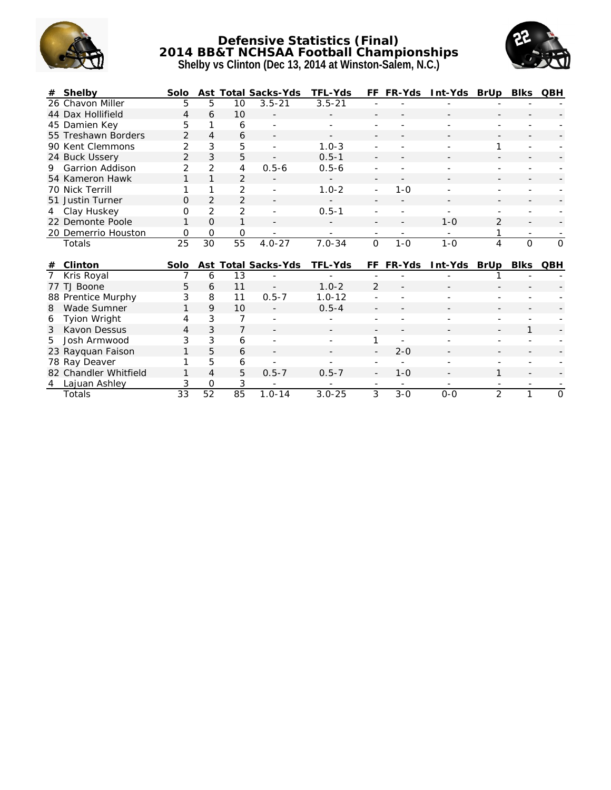

#### **Defensive Statistics (Final) 2014 BB&T NCHSAA Football Championships Shelby vs Clinton (Dec 13, 2014 at Winston-Salem, N.C.)**



|    | Shelby                             | Solo           | Ast            |                | Total Sacks-Yds     | TFL-Yds    | FF           | FR-Yds  | Int-Yds | BrUp           | <b>Blks</b>  | QBH          |
|----|------------------------------------|----------------|----------------|----------------|---------------------|------------|--------------|---------|---------|----------------|--------------|--------------|
|    | 26 Chavon Miller                   | 5              | 5              | 10             | $3.5 - 21$          | $3.5 - 21$ |              |         |         |                |              |              |
|    | 44 Dax Hollifield                  | 4              | 6              | 10             |                     |            |              |         |         |                |              |              |
|    | 45 Damien Key                      | 5              |                | 6              |                     |            |              |         |         |                |              |              |
|    | 55 Treshawn Borders                | 2              | $\overline{4}$ | 6              |                     |            |              |         |         |                |              |              |
|    | 90 Kent Clemmons                   | $\overline{2}$ | 3              | 5              |                     | $1.0 - 3$  |              |         |         | 1              |              |              |
|    | 24 Buck Ussery                     | $\overline{2}$ | 3              | 5              |                     | $0.5 - 1$  |              |         |         |                |              |              |
| 9. | <b>Garrion Addison</b>             | 2              | 2              | 4              | $0.5 - 6$           | $0.5 - 6$  |              |         |         |                |              |              |
|    | 54 Kameron Hawk                    | 1              | $\mathbf{1}$   | $\overline{2}$ |                     |            |              |         |         |                |              |              |
|    | 70 Nick Terrill                    | 1              | 1              | $\overline{2}$ |                     | $1.0 - 2$  | ÷,           | $1 - 0$ |         |                |              |              |
|    | 51 Justin Turner                   | O              | $\overline{2}$ | $\overline{2}$ |                     |            |              |         |         |                |              |              |
| 4  | Clay Huskey                        | 0              | 2              | $\overline{2}$ |                     | $0.5 - 1$  |              |         |         |                |              |              |
|    | 22 Demonte Poole                   | 1              | O              | 1              |                     |            |              |         | $1 - 0$ | $\overline{2}$ |              |              |
|    | 20 Demerrio Houston                | 0              | $\Omega$       | 0              |                     |            |              |         |         | 1              |              |              |
|    |                                    |                |                |                |                     |            |              |         |         |                |              |              |
|    | Totals                             | 25             | 30             | 55             | $4.0 - 27$          | $7.0 - 34$ | $\mathsf{O}$ | $1 - 0$ | $1 - 0$ | 4              | $\mathsf{O}$ | $\mathsf{O}$ |
| #  | Clinton                            | Solo           |                |                |                     | TFL-Yds    | FF           |         |         |                |              | QBH          |
|    |                                    | 7              | 6              | 13             | Ast Total Sacks-Yds |            |              | FR-Yds  | Int-Yds | BrUp           | <b>Blks</b>  |              |
| 77 | Kris Royal<br>TJ Boone             | 5              | 6              | 11             |                     | $1.0 - 2$  | 2            |         |         |                |              |              |
|    |                                    | 3              | 8              | 11             | $0.5 - 7$           | $1.0 - 12$ |              |         |         |                |              |              |
| 8  | 88 Prentice Murphy<br>Wade Sumner  | 1              | 9              | 10             |                     | $0.5 - 4$  |              |         |         |                |              |              |
| 6  | Tyion Wright                       | 4              | 3              | 7              |                     |            |              |         |         |                |              |              |
| 3  | Kavon Dessus                       | 4              | 3              | 7              |                     |            |              |         |         |                | $\mathbf{1}$ |              |
| 5  | Josh Armwood                       | 3              | 3              | 6              |                     |            |              |         |         |                |              |              |
|    |                                    | 1              | 5              | 6              |                     |            |              | $2 - 0$ |         |                |              |              |
|    | 23 Rayquan Faison<br>78 Ray Deaver | 1              | 5              | 6              |                     |            |              |         |         |                |              |              |
|    | 82 Chandler Whitfield              | 1              | 4              | 5              | $0.5 - 7$           | $0.5 - 7$  |              | $1 - 0$ |         | 1              |              |              |
| 4  | Lajuan Ashley                      | 3              | 0              | 3<br>85        |                     |            |              |         |         |                |              |              |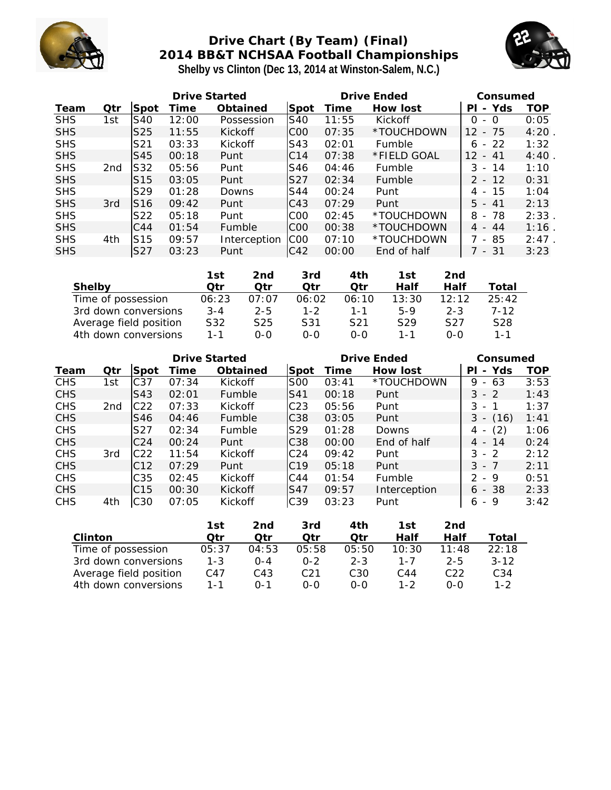

# **Drive Chart (By Team) (Final) 2014 BB&T NCHSAA Football Championships Shelby vs Clinton (Dec 13, 2014 at Winston-Salem, N.C.)**



|            | Drive Started   |                 |       |              |                 | Drive Ended |               |                                       | Consumed |  |
|------------|-----------------|-----------------|-------|--------------|-----------------|-------------|---------------|---------------------------------------|----------|--|
| Team       | Otr             | Spot            | Time  | Obtained     | Spot            | Time        | How lost      | Yds<br>PI<br>$\overline{\phantom{0}}$ | TOP      |  |
| <b>SHS</b> | 1st             | S40             | 12:00 | Possession   | S40             | 11:55       | Kickoff       | O<br>- 0                              | 0:05     |  |
| <b>SHS</b> |                 | S <sub>25</sub> | 11:55 | Kickoff      | C <sub>00</sub> | 07:35       | *TOUCHDOWN    | -75<br>12<br>$\overline{\phantom{a}}$ | 4:20     |  |
| <b>SHS</b> |                 | S <sub>21</sub> | 03:33 | Kickoff      | S43             | 02:01       | Fumble        | $-22$<br>6                            | 1:32     |  |
| <b>SHS</b> |                 | <b>S45</b>      | 00:18 | Punt         | C <sub>14</sub> | 07:38       | *FIELD GOAL   | 12<br>- 41                            | 4:40     |  |
| <b>SHS</b> | 2 <sub>nd</sub> | S32             | 05:56 | Punt         | S46             | 04:46       | Fumble        | 3<br>14<br>$\overline{\phantom{0}}$   | 1:10     |  |
| <b>SHS</b> |                 | S <sub>15</sub> | 03:05 | Punt         | S27             | 02:34       | <b>Fumble</b> | $2 - 12$                              | 0:31     |  |
| <b>SHS</b> |                 | S <sub>29</sub> | 01:28 | Downs        | S44             | 00:24       | Punt          | -15<br>4 -                            | 1:04     |  |
| <b>SHS</b> | 3rd             | S <sub>16</sub> | 09:42 | Punt         | C43             | 07:29       | Punt          | 5.<br>- 41                            | 2:13     |  |
| <b>SHS</b> |                 | S <sub>22</sub> | 05:18 | Punt         | C <sub>00</sub> | 02:45       | *TOUCHDOWN    | -78<br>8<br>$\overline{\phantom{a}}$  | 2:33     |  |
| <b>SHS</b> |                 | C44             | 01:54 | Fumble       | C <sub>00</sub> | 00:38       | *TOUCHDOWN    | $4 - 44$                              | 1:16     |  |
| <b>SHS</b> | 4th             | S <sub>15</sub> | 09:57 | Interception | C <sub>00</sub> | 07:10       | *TOUCHDOWN    | - 85                                  | 2:47     |  |
| <b>SHS</b> |                 | S <sub>27</sub> | 03:23 | Punt         | C <sub>42</sub> | 00:00       | End of half   | - 31                                  | 3:23     |  |

|                        | 1st     | 2nd     | 3rd     | 4th   | 1st             | 2nd     |                 |
|------------------------|---------|---------|---------|-------|-----------------|---------|-----------------|
| Shelby                 | ∩tr     | ∩tr     | ∩tr     | ∩tr   | Half            | Half    | Total           |
| Time of possession     | 06:23   | 07:07   | 06:02   | 06:10 | 13:30           | 12.12   | 25:42           |
| 3rd down conversions   | $3 - 4$ | $2 - 5$ | $1 - 2$ | 1 - 1 | 5-9             | $2 - 3$ | $7 - 12$        |
| Average field position | S32     | S25     | S31     | S21   | S <sub>29</sub> | S27     | S <sub>28</sub> |
| 4th down conversions   | $1 - 1$ | 0-0     | 0-0     | 0-0   | 1 - 1           | 0-0     | $1 - 1$         |

| Drive Started |                 |                 | Drive Ended |                |                 | Consumed |              |                                       |            |
|---------------|-----------------|-----------------|-------------|----------------|-----------------|----------|--------------|---------------------------------------|------------|
| Team          | Qtr             | Spot            | Time        | Obtained       | Spot            | Time     | How lost     | Yds<br>PI<br>$\overline{\phantom{0}}$ | <b>TOP</b> |
| <b>CHS</b>    | 1st             | C <sub>37</sub> | 07:34       | Kickoff        | <b>S00</b>      | 03:41    | *TOUCHDOWN   | 9<br>- 63                             | 3:53       |
| <b>CHS</b>    |                 | S43             | 02:01       | Fumble         | S41             | 00:18    | Punt         | $3 - 2$                               | 1:43       |
| <b>CHS</b>    | 2 <sub>nd</sub> | C <sub>22</sub> | 07:33       | Kickoff        | C <sub>23</sub> | 05:56    | Punt         | $3 -$<br>$\mathbf 1$                  | 1:37       |
| <b>CHS</b>    |                 | S46             | 04:46       | Fumble         | C38             | 03:05    | Punt         | $3 - (16)$                            | 1:41       |
| <b>CHS</b>    |                 | S27             | 02:34       | Fumble         | S <sub>29</sub> | 01:28    | Downs        | (2)<br>4<br>$\overline{\phantom{a}}$  | 1:06       |
| <b>CHS</b>    |                 | C <sub>24</sub> | 00:24       | Punt           | C38             | 00:00    | End of half  | $4 - 14$                              | 0:24       |
| <b>CHS</b>    | 3rd             | C <sub>22</sub> | 11:54       | Kickoff        | C <sub>24</sub> | 09:42    | Punt         | $3 - 2$                               | 2:12       |
| <b>CHS</b>    |                 | C12             | 07:29       | Punt           | C19             | 05:18    | Punt         | $3 - 7$                               | 2:11       |
| <b>CHS</b>    |                 | C <sub>35</sub> | 02:45       | Kickoff        | C44             | 01:54    | Fumble       | $2 - 9$                               | 0:51       |
| <b>CHS</b>    |                 | C <sub>15</sub> | 00:30       | <b>Kickoff</b> | <b>S47</b>      | 09:57    | Interception | $6 - 38$                              | 2:33       |
| <b>CHS</b>    | 4th             | C <sub>30</sub> | 07:05       | Kickoff        | C <sub>39</sub> | 03:23    | Punt         | - 9<br>6                              | 3:42       |

|                        | 1st     | 2nd   | 3rd     | 4th     | 1st   | 2nd     |                 |
|------------------------|---------|-------|---------|---------|-------|---------|-----------------|
| Clinton                | ∩tr     | ∩tr   | ∩tr     | ∩tr     | Half  | Half    | Total           |
| Time of possession     | 05:37   | 04:53 | 05:58   | 05:50   | 10:30 | 11:48   | 22:18           |
| 3rd down conversions   | $1 - 3$ | በ-4   | $0 - 2$ | $2 - 3$ | 1 - 7 | $2 - 5$ | $3 - 12$        |
| Average field position | C47     | C43.  | C21     | C30     | C44   | C22     | C <sub>34</sub> |
| 4th down conversions   | 1 - 1   | ∩−1   | ი-ი     | $O-O$   | 1-2   | റ-റ     | $1 - 2$         |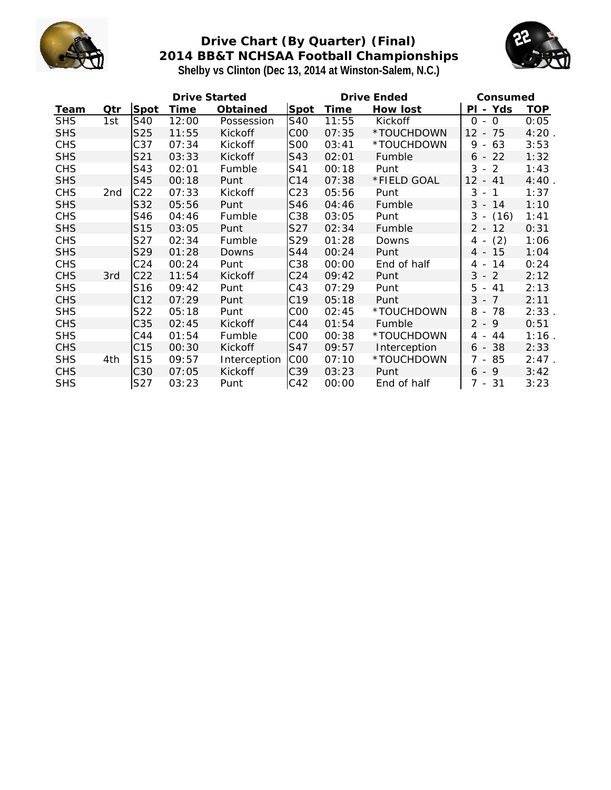

# **Drive Chart (By Quarter) (Final) 2014 BB&T NCHSAA Football Championships Shelby vs Clinton (Dec 13, 2014 at Winston-Salem, N.C.)**



|            |                 |                 | Drive Started |              |                 |       | Drive Ended  | Consumed                                        |          |
|------------|-----------------|-----------------|---------------|--------------|-----------------|-------|--------------|-------------------------------------------------|----------|
| Team       | Qtr             | Spot            | Time          | Obtained     | Spot            | Time  | How lost     | PI - Yds                                        | TOP      |
| <b>SHS</b> | 1st             | S40             | 12:00         | Possession   | S40             | 11:55 | Kickoff      | $0 - 0$                                         | 0:05     |
| <b>SHS</b> |                 | S25             | 11:55         | Kickoff      | C <sub>0</sub>  | 07:35 | *TOUCHDOWN   | $-75$<br>12 <sup>2</sup>                        | 4:20     |
| <b>CHS</b> |                 | C37             | 07:34         | Kickoff      | <b>SOO</b>      | 03:41 | *TOUCHDOWN   | 9<br>63<br>$\overline{\phantom{a}}$             | 3:53     |
| <b>SHS</b> |                 | S21             | 03:33         | Kickoff      | S43             | 02:01 | Fumble       | 22<br>$6 -$                                     | 1:32     |
| <b>CHS</b> |                 | S43             | 02:01         | Fumble       | S41             | 00:18 | Punt         | 3<br>2<br>$\sim$                                | 1:43     |
| <b>SHS</b> |                 | S45             | 00:18         | Punt         | C14             | 07:38 | *FIELD GOAL  | 12<br>41<br>$\overline{\phantom{a}}$            | 4:40     |
| <b>CHS</b> | 2 <sub>nd</sub> | C22             | 07:33         | Kickoff      | C <sub>23</sub> | 05:56 | Punt         | 3<br>$\overline{1}$<br>$\overline{\phantom{a}}$ | 1:37     |
| <b>SHS</b> |                 | S32             | 05:56         | Punt         | S46             | 04:46 | Fumble       | $3 - 14$                                        | 1:10     |
| <b>CHS</b> |                 | S46             | 04:46         | Fumble       | C38             | 03:05 | Punt         | (16)<br>$3 -$                                   | 1:41     |
| <b>SHS</b> |                 | S15             | 03:05         | Punt         | S27             | 02:34 | Fumble       | $2 - 12$                                        | 0:31     |
| <b>CHS</b> |                 | S27             | 02:34         | Fumble       | S29             | 01:28 | Downs        | (2)<br>4 -                                      | 1:06     |
| <b>SHS</b> |                 | S29             | 01:28         | Downs        | S44             | 00:24 | Punt         | 4 - 15                                          | 1:04     |
| <b>CHS</b> |                 | C <sub>24</sub> | 00:24         | Punt         | C38             | 00:00 | End of half  | 14<br>4 -                                       | 0:24     |
| <b>CHS</b> | 3rd             | C22             | 11:54         | Kickoff      | C <sub>24</sub> | 09:42 | Punt         | $3 - 2$                                         | 2:12     |
| <b>SHS</b> |                 | S16             | 09:42         | Punt         | C43             | 07:29 | Punt         | 5<br>$-41$                                      | 2:13     |
| <b>CHS</b> |                 | C12             | 07:29         | Punt         | C <sub>19</sub> | 05:18 | Punt         | $3 - 7$                                         | 2:11     |
| <b>SHS</b> |                 | S22             | 05:18         | Punt         | C <sub>0</sub>  | 02:45 | *TOUCHDOWN   | 8 - 78                                          | 2:33     |
| <b>CHS</b> |                 | C35             | 02:45         | Kickoff      | C44             | 01:54 | Fumble       | $2 - 9$                                         | 0:51     |
| <b>SHS</b> |                 | C44             | 01:54         | Fumble       | C <sub>0</sub>  | 00:38 | *TOUCHDOWN   | 44<br>4 -                                       | 1:16     |
| <b>CHS</b> |                 | C15             | 00:30         | Kickoff      | S47             | 09:57 | Interception | $6 - 38$                                        | 2:33     |
| <b>SHS</b> | 4th             | S15             | 09:57         | Interception | C <sub>00</sub> | 07:10 | *TOUCHDOWN   | 7 -<br>85                                       | $2:47$ . |
| <b>CHS</b> |                 | C30             | 07:05         | Kickoff      | C39             | 03:23 | Punt         | $6 - 9$                                         | 3:42     |
| <b>SHS</b> |                 | S27             | 03:23         | Punt         | C42             | 00:00 | End of half  | 7 - 31                                          | 3:23     |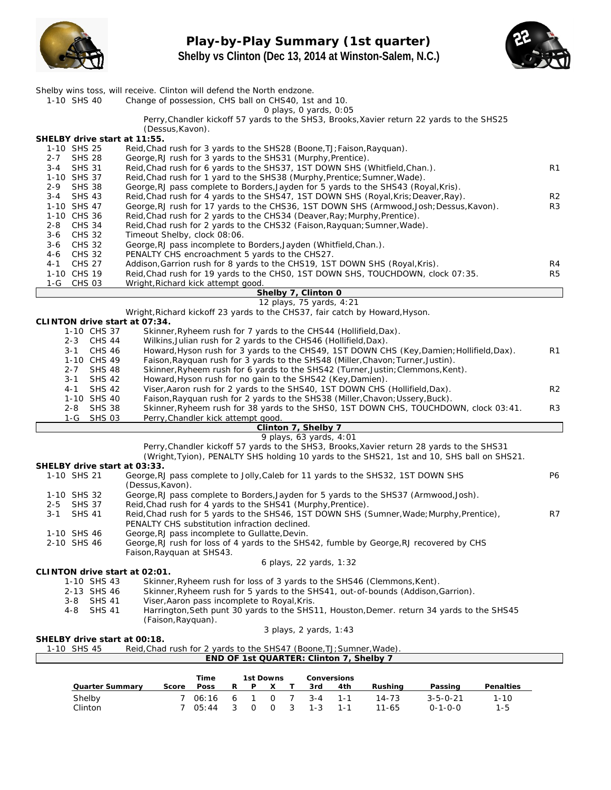

**Play-by-Play Summary (1st quarter) Shelby vs Clinton (Dec 13, 2014 at Winston-Salem, N.C.)**



| 1-10 SHS 40                                                                                                 | Shelby wins toss, will receive. Clinton will defend the North endzone.<br>Change of possession, CHS ball on CHS40, 1st and 10.                                                                                    |                      |  |  |  |  |  |  |  |
|-------------------------------------------------------------------------------------------------------------|-------------------------------------------------------------------------------------------------------------------------------------------------------------------------------------------------------------------|----------------------|--|--|--|--|--|--|--|
|                                                                                                             | O plays, O yards, 0:05                                                                                                                                                                                            |                      |  |  |  |  |  |  |  |
|                                                                                                             | Perry, Chandler kickoff 57 yards to the SHS3, Brooks, Xavier return 22 yards to the SHS25                                                                                                                         |                      |  |  |  |  |  |  |  |
|                                                                                                             | (Dessus, Kavon).                                                                                                                                                                                                  |                      |  |  |  |  |  |  |  |
| SHELBY drive start at 11:55.<br>1-10 SHS 25                                                                 | Reid, Chad rush for 3 yards to the SHS28 (Boone, TJ; Faison, Rayquan).                                                                                                                                            |                      |  |  |  |  |  |  |  |
| <b>SHS 28</b><br>2-7                                                                                        | George, RJ rush for 3 yards to the SHS31 (Murphy, Prentice).                                                                                                                                                      |                      |  |  |  |  |  |  |  |
| <b>SHS 31</b><br>$3 - 4$                                                                                    | Reid, Chad rush for 6 yards to the SHS37, 1ST DOWN SHS (Whitfield, Chan.).                                                                                                                                        | R <sub>1</sub>       |  |  |  |  |  |  |  |
| 1-10 SHS 37<br>Reid, Chad rush for 1 yard to the SHS38 (Murphy, Prentice; Sumner, Wade).                    |                                                                                                                                                                                                                   |                      |  |  |  |  |  |  |  |
| <b>SHS 38</b><br>2-9<br>George, RJ pass complete to Borders, Jayden for 5 yards to the SHS43 (Royal, Kris). |                                                                                                                                                                                                                   |                      |  |  |  |  |  |  |  |
| <b>SHS 43</b><br>3-4<br>1-10 SHS 47                                                                         | Reid, Chad rush for 4 yards to the SHS47, 1ST DOWN SHS (Royal, Kris; Deaver, Ray).<br>George, RJ rush for 17 yards to the CHS36, 1ST DOWN SHS (Armwood, Josh; Dessus, Kavon).                                     | R <sub>2</sub><br>R3 |  |  |  |  |  |  |  |
| 1-10 CHS 36                                                                                                 | Reid, Chad rush for 2 yards to the CHS34 (Deaver, Ray; Murphy, Prentice).                                                                                                                                         |                      |  |  |  |  |  |  |  |
| $2 - 8$<br><b>CHS 34</b>                                                                                    | Reid, Chad rush for 2 yards to the CHS32 (Faison, Rayguan; Sumner, Wade).                                                                                                                                         |                      |  |  |  |  |  |  |  |
| <b>CHS 32</b><br>3-6                                                                                        | Timeout Shelby, clock 08:06.                                                                                                                                                                                      |                      |  |  |  |  |  |  |  |
| <b>CHS 32</b><br>3-6                                                                                        | George, RJ pass incomplete to Borders, Jayden (Whitfield, Chan.).                                                                                                                                                 |                      |  |  |  |  |  |  |  |
| <b>CHS 32</b><br>4-6                                                                                        | PENALTY CHS encroachment 5 yards to the CHS27.                                                                                                                                                                    |                      |  |  |  |  |  |  |  |
| <b>CHS 27</b><br>4-1<br>1-10 CHS 19                                                                         | Addison, Garrion rush for 8 yards to the CHS19, 1ST DOWN SHS (Royal, Kris).<br>Reid, Chad rush for 19 yards to the CHSO, 1ST DOWN SHS, TOUCHDOWN, clock 07:35.                                                    | R4<br>R <sub>5</sub> |  |  |  |  |  |  |  |
| 1-G<br><b>CHS 03</b>                                                                                        | Wright, Richard kick attempt good.                                                                                                                                                                                |                      |  |  |  |  |  |  |  |
|                                                                                                             | Shelby 7, Clinton 0                                                                                                                                                                                               |                      |  |  |  |  |  |  |  |
|                                                                                                             | 12 plays, 75 yards, 4:21                                                                                                                                                                                          |                      |  |  |  |  |  |  |  |
|                                                                                                             | Wright, Richard kickoff 23 yards to the CHS37, fair catch by Howard, Hyson.                                                                                                                                       |                      |  |  |  |  |  |  |  |
| CLINTON drive start at 07:34.<br>1-10 CHS 37                                                                | Skinner, Ryheem rush for 7 yards to the CHS44 (Hollifield, Dax).                                                                                                                                                  |                      |  |  |  |  |  |  |  |
| 2-3 CHS 44                                                                                                  | Wilkins, Julian rush for 2 yards to the CHS46 (Hollifield, Dax).                                                                                                                                                  |                      |  |  |  |  |  |  |  |
| 3-1<br><b>CHS 46</b>                                                                                        | Howard, Hyson rush for 3 yards to the CHS49, 1ST DOWN CHS (Key, Damien; Hollifield, Dax).                                                                                                                         | R1                   |  |  |  |  |  |  |  |
| 1-10 CHS 49                                                                                                 | Faison, Rayquan rush for 3 yards to the SHS48 (Miller, Chavon; Turner, Justin).                                                                                                                                   |                      |  |  |  |  |  |  |  |
| $2 - 7$<br><b>SHS 48</b>                                                                                    | Skinner, Ryheem rush for 6 yards to the SHS42 (Turner, Justin; Clemmons, Kent).                                                                                                                                   |                      |  |  |  |  |  |  |  |
| $3 - 1$<br><b>SHS 42</b><br><b>SHS 42</b><br>$4 - 1$                                                        | Howard, Hyson rush for no gain to the SHS42 (Key, Damien).<br>Viser, Aaron rush for 2 yards to the SHS40, 1ST DOWN CHS (Hollifield, Dax).                                                                         | R <sub>2</sub>       |  |  |  |  |  |  |  |
| 1-10 SHS 40                                                                                                 | Faison, Rayquan rush for 2 yards to the SHS38 (Miller, Chavon; Ussery, Buck).                                                                                                                                     |                      |  |  |  |  |  |  |  |
| <b>SHS 38</b><br>2-8                                                                                        | Skinner, Ryheem rush for 38 yards to the SHSO, 1ST DOWN CHS, TOUCHDOWN, clock 03:41.                                                                                                                              | R3                   |  |  |  |  |  |  |  |
| 1-G SHS 03                                                                                                  | Perry, Chandler kick attempt good.                                                                                                                                                                                |                      |  |  |  |  |  |  |  |
|                                                                                                             | Clinton 7, Shelby 7<br>9 plays, 63 yards, 4:01                                                                                                                                                                    |                      |  |  |  |  |  |  |  |
|                                                                                                             | Perry, Chandler kickoff 57 yards to the SHS3, Brooks, Xavier return 28 yards to the SHS31                                                                                                                         |                      |  |  |  |  |  |  |  |
|                                                                                                             | (Wright, Tyion), PENALTY SHS holding 10 yards to the SHS21, 1st and 10, SHS ball on SHS21.                                                                                                                        |                      |  |  |  |  |  |  |  |
| SHELBY drive start at 03:33.                                                                                |                                                                                                                                                                                                                   |                      |  |  |  |  |  |  |  |
| 1-10 SHS 21                                                                                                 | George, RJ pass complete to Jolly, Caleb for 11 yards to the SHS32, 1ST DOWN SHS                                                                                                                                  | P6                   |  |  |  |  |  |  |  |
| 1-10 SHS 32                                                                                                 | (Dessus, Kavon).<br>George, RJ pass complete to Borders, Jayden for 5 yards to the SHS37 (Armwood, Josh).                                                                                                         |                      |  |  |  |  |  |  |  |
| <b>SHS 37</b><br>2-5                                                                                        | Reid, Chad rush for 4 yards to the SHS41 (Murphy, Prentice).                                                                                                                                                      |                      |  |  |  |  |  |  |  |
| <b>SHS 41</b><br>3-1                                                                                        | Reid, Chad rush for 5 yards to the SHS46, 1ST DOWN SHS (Sumner, Wade; Murphy, Prentice),                                                                                                                          | R7                   |  |  |  |  |  |  |  |
|                                                                                                             | PENALTY CHS substitution infraction declined.                                                                                                                                                                     |                      |  |  |  |  |  |  |  |
| 1-10 SHS 46                                                                                                 | George, RJ pass incomplete to Gullatte, Devin.<br>George, RJ rush for loss of 4 yards to the SHS42, fumble by George, RJ recovered by CHS                                                                         |                      |  |  |  |  |  |  |  |
| 2-10 SHS 46                                                                                                 | Faison, Rayguan at SHS43.                                                                                                                                                                                         |                      |  |  |  |  |  |  |  |
|                                                                                                             | 6 plays, 22 yards, 1:32                                                                                                                                                                                           |                      |  |  |  |  |  |  |  |
| CLINTON drive start at 02:01.                                                                               |                                                                                                                                                                                                                   |                      |  |  |  |  |  |  |  |
| 1-10 SHS 43                                                                                                 | Skinner, Ryheem rush for loss of 3 yards to the SHS46 (Clemmons, Kent).                                                                                                                                           |                      |  |  |  |  |  |  |  |
| 2-13 SHS 46                                                                                                 | Skinner, Ryheem rush for 5 yards to the SHS41, out-of-bounds (Addison, Garrion).                                                                                                                                  |                      |  |  |  |  |  |  |  |
| <b>SHS 41</b><br>3-8<br>4-8<br><b>SHS 41</b>                                                                | Viser, Aaron pass incomplete to Royal, Kris.<br>Harrington, Seth punt 30 yards to the SHS11, Houston, Demer. return 34 yards to the SHS45                                                                         |                      |  |  |  |  |  |  |  |
|                                                                                                             | (Faison, Rayquan).                                                                                                                                                                                                |                      |  |  |  |  |  |  |  |
|                                                                                                             | 3 plays, 2 yards, 1:43                                                                                                                                                                                            |                      |  |  |  |  |  |  |  |
| SHELBY drive start at 00:18.                                                                                |                                                                                                                                                                                                                   |                      |  |  |  |  |  |  |  |
| 1-10 SHS 45                                                                                                 | Reid, Chad rush for 2 yards to the SHS47 (Boone, TJ; Sumner, Wade).<br>END OF 1st QUARTER: Clinton 7, Shelby 7                                                                                                    |                      |  |  |  |  |  |  |  |
|                                                                                                             |                                                                                                                                                                                                                   |                      |  |  |  |  |  |  |  |
|                                                                                                             | 1st Downs<br>Conversions<br>Time                                                                                                                                                                                  |                      |  |  |  |  |  |  |  |
|                                                                                                             |                                                                                                                                                                                                                   |                      |  |  |  |  |  |  |  |
| Shelby                                                                                                      | Quarter Summary<br>Score<br>Poss<br>Τ<br>Rushing<br>Passing<br>Penalties<br>R<br>P<br><u>X</u><br>3rd<br>4th<br>7<br>$3 - 4$<br>$14 - 73$<br>7<br>06:16<br>6<br>1<br>0<br>$1 - 1$<br>$3 - 5 - 0 - 21$<br>$1 - 10$ |                      |  |  |  |  |  |  |  |

Clinton 7 05:44 3 0 0 3 1-3 1-1 11-65 0-1-0-0 1-5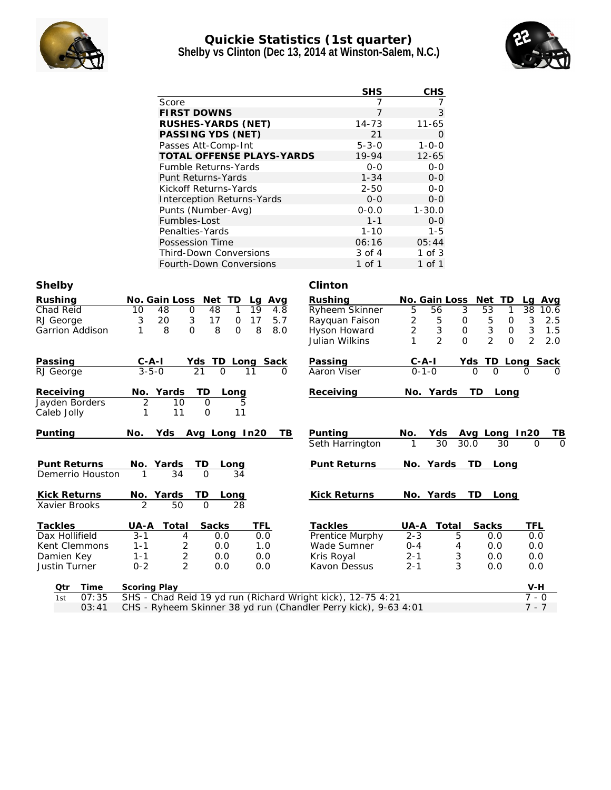

## **Quickie Statistics (1st quarter) Shelby vs Clinton (Dec 13, 2014 at Winston-Salem, N.C.)**



|                                                     |                                                                 | <b>SHS</b>             | CHS                  |                                        |                                  |
|-----------------------------------------------------|-----------------------------------------------------------------|------------------------|----------------------|----------------------------------------|----------------------------------|
| Score                                               |                                                                 | 7                      | 7                    |                                        |                                  |
|                                                     | <b>FIRST DOWNS</b>                                              | $\overline{7}$         | 3                    |                                        |                                  |
|                                                     | RUSHES-YARDS (NET)                                              | $14 - 73$              | $11 - 65$            |                                        |                                  |
|                                                     | PASSING YDS (NET)                                               | 21                     | 0                    |                                        |                                  |
|                                                     | Passes Att-Comp-Int                                             | $5 - 3 - 0$            | $1 - 0 - 0$          |                                        |                                  |
|                                                     | TOTAL OFFENSE PLAYS-YARDS                                       | 19-94                  | $12 - 65$            |                                        |                                  |
|                                                     | Fumble Returns-Yards                                            | $0 - 0$                | $0-0$                |                                        |                                  |
|                                                     | Punt Returns-Yards                                              | $1 - 34$               | $0-0$                |                                        |                                  |
|                                                     | Kickoff Returns-Yards                                           | $2 - 50$               | $0 - 0$              |                                        |                                  |
|                                                     | Interception Returns-Yards                                      | $0 - 0$                | $O-O$                |                                        |                                  |
|                                                     | Punts (Number-Avg)                                              | $0 - 0.0$              | $1 - 30.0$           |                                        |                                  |
| Fumbles-Lost                                        |                                                                 | $1 - 1$                | $O-O$                |                                        |                                  |
|                                                     | Penalties-Yards                                                 | $1 - 10$               | $1 - 5$              |                                        |                                  |
|                                                     | Possession Time                                                 | 06:16                  | 05:44                |                                        |                                  |
|                                                     | Third-Down Conversions                                          | 3 of 4                 | $1$ of $3$           |                                        |                                  |
|                                                     | Fourth-Down Conversions                                         | 1 of 1                 | 1 of 1               |                                        |                                  |
| Shelby                                              |                                                                 | Clinton                |                      |                                        |                                  |
| Rushing<br>No. Gain Loss Net TD                     | Lg Avg                                                          | Rushing                | No. Gain Loss Net TD |                                        | Lg Avg                           |
| Chad Reid<br>10<br>48<br>0                          | 48<br>19<br>1<br>4.8                                            | Ryheem Skinner         | 5<br>56              | $\mathfrak{Z}$<br>53<br>1              | 38<br>10.6                       |
| 20<br>3<br>RJ George<br>3                           | 17<br>17<br>O<br>5.7                                            | Rayquan Faison         | 2<br>5               | 5<br>0<br>0                            | 3<br>2.5                         |
| 8<br>$\Omega$<br>Garrion Addison<br>1               | 8<br>8<br>8.0<br>0                                              | Hyson Howard           | 2<br>$\sqrt{3}$      | $\ensuremath{\mathsf{3}}$<br>0<br>0    | $\ensuremath{\mathsf{3}}$<br>1.5 |
|                                                     |                                                                 | Julian Wilkins         | $\overline{2}$<br>1  | $\overline{2}$<br>$\Omega$<br>$\Omega$ | $\overline{2}$<br>2.0            |
| Passing<br><u>C-A-I</u>                             | Yds TD Long Sack                                                | Passing                |                      | Yds TD Long Sack                       |                                  |
| $3 - 5 - 0$<br>RJ George                            | 21<br>$\Omega$<br>11<br>Ω                                       | Aaron Viser            | $0 - 1 - 0$          | $\Omega$                               | O                                |
|                                                     |                                                                 |                        |                      |                                        |                                  |
| Receiving<br>No. Yards                              | ТD<br>Long                                                      | Receiving              | No. Yards            | TD.<br>Long                            |                                  |
| Jayden Borders<br>2<br>10<br>Caleb Jolly<br>11<br>1 | 0<br>5<br>11<br>0                                               |                        |                      |                                        |                                  |
|                                                     |                                                                 |                        |                      |                                        |                                  |
| Punting<br>No.                                      | Yds Avg Long In20<br>TB                                         | Punting                | No.<br>Yds           | Avg Long In20                          | TВ                               |
|                                                     |                                                                 | Seth Harrington        | 30                   | 30.0<br>30                             | O<br>0                           |
|                                                     |                                                                 |                        |                      |                                        |                                  |
| <b>Punt Returns</b><br>No. Yards                    | TD<br>Long                                                      | Punt Returns           | No. Yards            | TD<br>Long                             |                                  |
| 34<br>Demerrio Houston                              | 34<br>$\Omega$                                                  |                        |                      |                                        |                                  |
| Kick Returns<br>No. Yards                           | TD<br>L <u>ong</u>                                              | Kick Returns           | No. Yards            | TD<br>Long                             |                                  |
| $\overline{\mathcal{L}}$<br>50<br>Xavier Brooks     | $\Omega$<br>28                                                  |                        |                      |                                        |                                  |
|                                                     |                                                                 |                        |                      |                                        |                                  |
| <b>Tackles</b><br>UA-A Total                        | <b>Sacks</b><br>TFL                                             | <b>Tackles</b>         | UA-A Total           | Sacks                                  | TFL                              |
| Dax Hollifield<br>3-1<br>4                          | 0.0<br>0.0                                                      | <b>Prentice Murphy</b> | 2-3                  | b<br>0.0                               | 0.0                              |
| 2<br>Kent Clemmons<br>$1 - 1$                       | 0.0<br>1.0                                                      | Wade Sumner            | $0 - 4$              | 4<br>0.0                               | 0.0                              |
| Damien Key<br>$1 - 1$<br>2                          | 0.0<br>0.0                                                      | Kris Royal             | $2 - 1$              | 3<br>0.0                               | 0.0                              |
| $\overline{2}$<br>Justin Turner<br>$0 - 2$          | 0.0<br>0.0                                                      | Kavon Dessus           | $2 - 1$              | 3<br>0.0                               | 0.0                              |
| Time<br>Scoring Play<br>Qtr                         |                                                                 |                        |                      |                                        | V-H                              |
| 07:35<br>1st                                        | SHS - Chad Reid 19 yd run (Richard Wright kick), 12-75 4:21     |                        |                      |                                        | $7 - 0$                          |
| 03:41                                               | CHS - Ryheem Skinner 38 yd run (Chandler Perry kick), 9-63 4:01 |                        |                      |                                        | $7 - 7$                          |
|                                                     |                                                                 |                        |                      |                                        |                                  |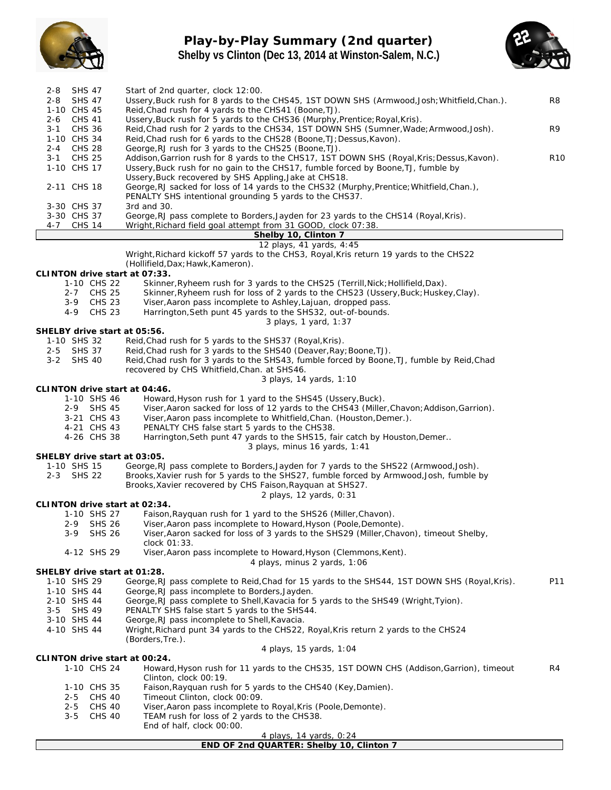

# **Play-by-Play Summary (2nd quarter) Shelby vs Clinton (Dec 13, 2014 at Winston-Salem, N.C.)**



| <b>SHS 47</b><br>2-8                    | Start of 2nd quarter, clock 12:00.                                                                                                                 |                 |
|-----------------------------------------|----------------------------------------------------------------------------------------------------------------------------------------------------|-----------------|
| 2-8 SHS 47                              | Ussery, Buck rush for 8 yards to the CHS45, 1ST DOWN SHS (Armwood, Josh; Whitfield, Chan.).                                                        | R8              |
| 1-10 CHS 45<br>2-6 CHS 41               | Reid, Chad rush for 4 yards to the CHS41 (Boone, TJ).<br>Ussery, Buck rush for 5 yards to the CHS36 (Murphy, Prentice; Royal, Kris).               |                 |
| 3-1 CHS 36                              | Reid, Chad rush for 2 yards to the CHS34, 1ST DOWN SHS (Sumner, Wade; Armwood, Josh).                                                              | R9              |
| 1-10 CHS 34                             | Reid, Chad rush for 6 yards to the CHS28 (Boone, TJ; Dessus, Kavon).                                                                               |                 |
| 2-4 CHS 28                              | George, RJ rush for 3 yards to the CHS25 (Boone, TJ).                                                                                              |                 |
| <b>CHS 25</b><br>$3 - 1$                | Addison, Garrion rush for 8 yards to the CHS17, 1ST DOWN SHS (Royal, Kris; Dessus, Kavon).                                                         | R <sub>10</sub> |
| 1-10 CHS 17                             | Ussery, Buck rush for no gain to the CHS17, fumble forced by Boone, TJ, fumble by                                                                  |                 |
| 2-11 CHS 18                             | Ussery, Buck recovered by SHS Appling, Jake at CHS18.<br>George, RJ sacked for loss of 14 yards to the CHS32 (Murphy, Prentice; Whitfield, Chan.), |                 |
|                                         | PENALTY SHS intentional grounding 5 yards to the CHS37.                                                                                            |                 |
| 3-30 CHS 37                             | 3rd and 30.                                                                                                                                        |                 |
| 3-30 CHS 37                             | George, RJ pass complete to Borders, Jayden for 23 yards to the CHS14 (Royal, Kris).                                                               |                 |
| 4-7 CHS 14                              | Wright, Richard field goal attempt from 31 GOOD, clock 07:38.                                                                                      |                 |
|                                         | Shelby 10, Clinton 7<br>12 plays, 41 yards, 4:45                                                                                                   |                 |
|                                         | Wright, Richard kickoff 57 yards to the CHS3, Royal, Kris return 19 yards to the CHS22                                                             |                 |
|                                         | (Hollifield, Dax; Hawk, Kameron).                                                                                                                  |                 |
| CLINTON drive start at 07:33.           |                                                                                                                                                    |                 |
| 1-10 CHS 22                             | Skinner, Ryheem rush for 3 yards to the CHS25 (Terrill, Nick; Hollifield, Dax).                                                                    |                 |
| 2-7 CHS 25                              | Skinner, Ryheem rush for loss of 2 yards to the CHS23 (Ussery, Buck; Huskey, Clay).                                                                |                 |
| 3-9 CHS 23<br>4-9 CHS 23                | Viser, Aaron pass incomplete to Ashley, Lajuan, dropped pass.<br>Harrington, Seth punt 45 yards to the SHS32, out-of-bounds.                       |                 |
|                                         | 3 plays, 1 yard, 1:37                                                                                                                              |                 |
| SHELBY drive start at 05:56.            |                                                                                                                                                    |                 |
| 1-10 SHS 32                             | Reid, Chad rush for 5 yards to the SHS37 (Royal, Kris).                                                                                            |                 |
| 2-5 SHS 37                              | Reid, Chad rush for 3 yards to the SHS40 (Deaver, Ray; Boone, TJ).                                                                                 |                 |
| $3 - 2$<br>SHS 40                       | Reid, Chad rush for 3 yards to the SHS43, fumble forced by Boone, TJ, fumble by Reid, Chad<br>recovered by CHS Whitfield, Chan. at SHS46.          |                 |
|                                         | 3 plays, 14 yards, 1:10                                                                                                                            |                 |
| CLINTON drive start at 04:46.           |                                                                                                                                                    |                 |
| 1-10 SHS 46                             | Howard, Hyson rush for 1 yard to the SHS45 (Ussery, Buck).                                                                                         |                 |
| 2-9 SHS 45                              | Viser, Aaron sacked for loss of 12 yards to the CHS43 (Miller, Chavon; Addison, Garrion).                                                          |                 |
| 3-21 CHS 43<br>4-21 CHS 43              | Viser, Aaron pass incomplete to Whitfield, Chan. (Houston, Demer.).                                                                                |                 |
| 4-26 CHS 38                             | PENALTY CHS false start 5 yards to the CHS38.<br>Harrington, Seth punt 47 yards to the SHS15, fair catch by Houston, Demer                         |                 |
|                                         | 3 plays, minus 16 yards, 1:41                                                                                                                      |                 |
| SHELBY drive start at 03:05.            |                                                                                                                                                    |                 |
| 1-10 SHS 15                             | George, RJ pass complete to Borders, Jayden for 7 yards to the SHS22 (Armwood, Josh).                                                              |                 |
| 2-3 SHS 22                              | Brooks, Xavier rush for 5 yards to the SHS27, fumble forced by Armwood, Josh, fumble by                                                            |                 |
|                                         | Brooks, Xavier recovered by CHS Faison, Rayquan at SHS27.<br>2 plays, 12 yards, 0:31                                                               |                 |
| CLINTON drive start at 02:34.           |                                                                                                                                                    |                 |
| 1-10 SHS 27                             | Faison, Rayquan rush for 1 yard to the SHS26 (Miller, Chavon).                                                                                     |                 |
| 2-9<br>SHS 26                           | Viser, Aaron pass incomplete to Howard, Hyson (Poole, Demonte).                                                                                    |                 |
| <b>SHS 26</b><br>$3-9$                  | Viser, Aaron sacked for loss of 3 yards to the SHS29 (Miller, Chavon), timeout Shelby,                                                             |                 |
| 4-12 SHS 29                             | clock 01:33.<br>Viser, Aaron pass incomplete to Howard, Hyson (Clemmons, Kent).                                                                    |                 |
|                                         | 4 plays, minus 2 yards, 1:06                                                                                                                       |                 |
| SHELBY drive start at 01:28.            |                                                                                                                                                    |                 |
| 1-10 SHS 29                             | George, RJ pass complete to Reid, Chad for 15 yards to the SHS44, 1ST DOWN SHS (Royal, Kris).                                                      | P11             |
| 1-10 SHS 44                             | George, RJ pass incomplete to Borders, Jayden.                                                                                                     |                 |
| 2-10 SHS 44<br>$3 - 5$<br><b>SHS 49</b> | George, RJ pass complete to Shell, Kavacia for 5 yards to the SHS49 (Wright, Tyion).<br>PENALTY SHS false start 5 yards to the SHS44.              |                 |
| 3-10 SHS 44                             | George, RJ pass incomplete to Shell, Kavacia.                                                                                                      |                 |
| 4-10 SHS 44                             | Wright, Richard punt 34 yards to the CHS22, Royal, Kris return 2 yards to the CHS24                                                                |                 |
|                                         | (Borders, Tre.).                                                                                                                                   |                 |
|                                         | 4 plays, 15 yards, 1:04                                                                                                                            |                 |
| CLINTON drive start at 00:24.           |                                                                                                                                                    |                 |
| 1-10 CHS 24                             | Howard, Hyson rush for 11 yards to the CHS35, 1ST DOWN CHS (Addison, Garrion), timeout<br>Clinton, clock 00:19.                                    | R4              |
| 1-10 CHS 35                             | Faison, Rayquan rush for 5 yards to the CHS40 (Key, Damien).                                                                                       |                 |
| CHS 40<br>$2 - 5$                       | Timeout Clinton, clock 00:09.                                                                                                                      |                 |
| $2 - 5$<br>CHS 40                       | Viser, Aaron pass incomplete to Royal, Kris (Poole, Demonte).                                                                                      |                 |
| $3 - 5$<br><b>CHS 40</b>                | TEAM rush for loss of 2 yards to the CHS38.                                                                                                        |                 |
|                                         | End of half, clock 00:00.<br>4 plays, 14 yards, 0:24                                                                                               |                 |
|                                         |                                                                                                                                                    |                 |

**END OF 2nd QUARTER: Shelby 10, Clinton 7**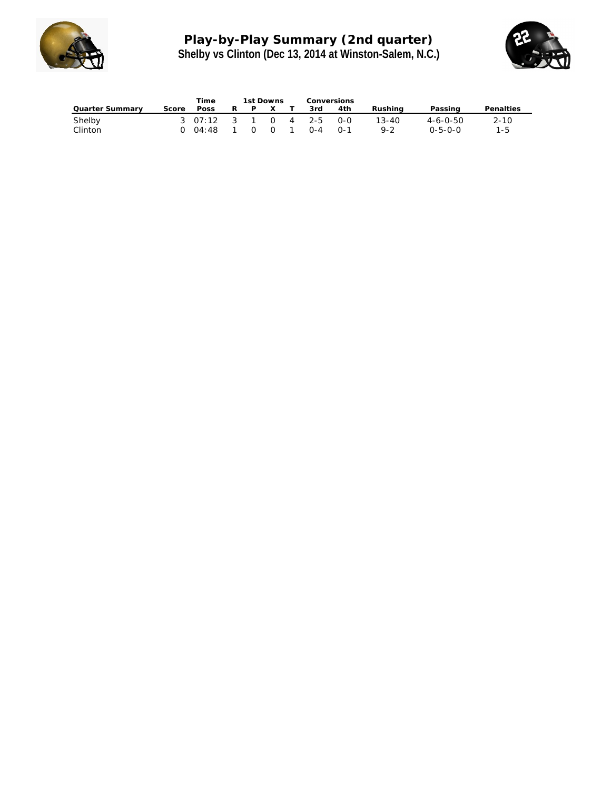

# **Play-by-Play Summary (2nd quarter) Shelby vs Clinton (Dec 13, 2014 at Winston-Salem, N.C.)**



|                 |       | Time                    | 1st Downs |              | Conversions |         |     |           |                  |           |
|-----------------|-------|-------------------------|-----------|--------------|-------------|---------|-----|-----------|------------------|-----------|
| Quarter Summary | Score | Poss                    |           | $\mathsf{X}$ |             | 3rd     | 4th | Rushina   | Passing          | Penalties |
| Shelby          |       | 3 07:12 3 1 0 4 2-5 0-0 |           |              |             |         |     | $13 - 40$ | $4 - 6 - 0 - 50$ | $2 - 10$  |
| Clinton         |       | 0 04:48                 |           | $0\quad 0$   |             | $O - 4$ | ∩-1 | $9 - 2$   | $0 - 5 - 0 - 0$  | 1-5       |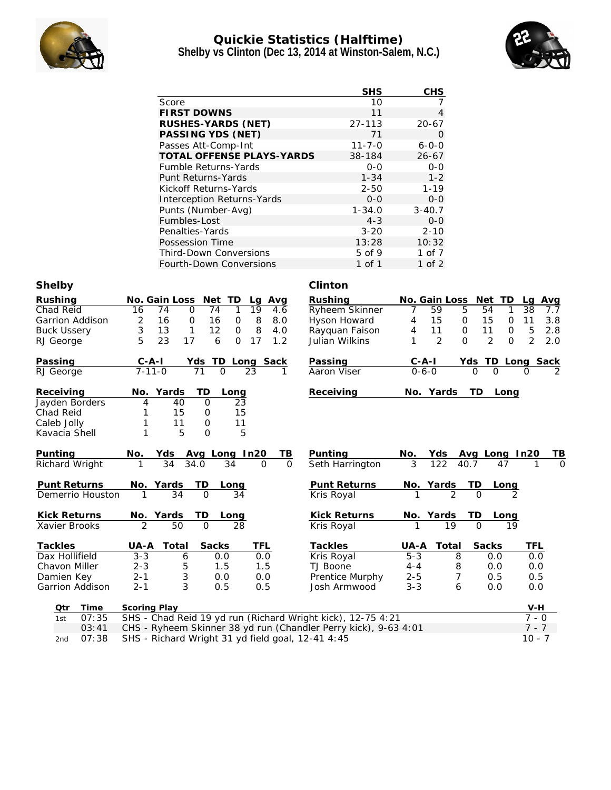

## **Quickie Statistics (Halftime) Shelby vs Clinton (Dec 13, 2014 at Winston-Salem, N.C.)**



|                                                         |                                                                                   | <b>SHS</b>             | <b>CHS</b>                  |                                            |                  |
|---------------------------------------------------------|-----------------------------------------------------------------------------------|------------------------|-----------------------------|--------------------------------------------|------------------|
|                                                         | Score                                                                             | 10                     | 7                           |                                            |                  |
|                                                         | <b>FIRST DOWNS</b>                                                                | 11                     | 4                           |                                            |                  |
|                                                         | RUSHES-YARDS (NET)                                                                | 27-113                 |                             |                                            |                  |
|                                                         | PASSING YDS (NET)                                                                 | 71                     | $\overline{O}$              |                                            |                  |
|                                                         | Passes Att-Comp-Int                                                               | $11 - 7 - 0$           | $6 - 0 - 0$                 |                                            |                  |
|                                                         | TOTAL OFFENSE PLAYS-YARDS                                                         | 38-184                 | $26 - 67$                   |                                            |                  |
|                                                         | Fumble Returns-Yards                                                              | $0 - 0$                | $0 - 0$                     |                                            |                  |
|                                                         | Punt Returns-Yards                                                                | $1 - 34$               | $1 - 2$                     |                                            |                  |
|                                                         | Kickoff Returns-Yards                                                             | $2 - 50$               | $1 - 19$                    |                                            |                  |
|                                                         | Interception Returns-Yards                                                        | $0 - 0$                | $0-0$                       |                                            |                  |
|                                                         | Punts (Number-Avg)                                                                | $1 - 34.0$             | $3 - 40.7$                  |                                            |                  |
|                                                         | Fumbles-Lost                                                                      | $4 - 3$                | $0-0$                       |                                            |                  |
|                                                         | Penalties-Yards                                                                   | $3 - 20$               | $2 - 10$                    |                                            |                  |
|                                                         | Possession Time                                                                   | 13:28                  | 10:32                       |                                            |                  |
|                                                         | <b>Third-Down Conversions</b>                                                     | 5 of 9                 | 1 of 7                      |                                            |                  |
|                                                         | Fourth-Down Conversions                                                           | 1 of 1                 | $1$ of $2$                  |                                            |                  |
| Shelby                                                  |                                                                                   | Clinton                |                             |                                            |                  |
| Rushing                                                 | No. Gain Loss<br>Net TD<br>Avg<br>Lq                                              | Rushing                | No. Gain Loss               | Net TD                                     | Lq<br><u>Avg</u> |
| Chad Reid                                               | $\mathbf 0$<br>74<br>19<br>16<br>74<br>1<br>4.6                                   | Ryheem Skinner         | 59<br>7                     | 54<br>5<br>1                               | 38<br>7.7        |
| Garrion Addison                                         | 2<br>16<br>0<br>8<br>16<br>$\mathbf 0$<br>8.0                                     | Hyson Howard           | 15<br>4                     | $\mathsf O$<br>15<br>$\mathbf 0$           | 11<br>3.8        |
| <b>Buck Ussery</b>                                      | 3<br>$\mathbf{1}$<br>8<br>13<br>12<br>4.0<br>0                                    | Rayquan Faison         | 11<br>4                     | $\mathbf 0$<br>11<br>$\mathbf 0$           | 5<br>2.8         |
| RJ George                                               | 5<br>23<br>17<br>6<br>$\overline{O}$<br>17<br>1.2                                 | Julian Wilkins         | 2<br>1                      | $\overline{2}$<br>$\mathbf{O}$<br>$\Omega$ | 2<br>2.0         |
|                                                         |                                                                                   |                        |                             |                                            |                  |
| Passing<br>RJ George                                    | <u>Yds</u><br>TD Long Sack<br>$C - A - I$<br>$7 - 11 - 0$<br>$\Omega$<br>71<br>23 | Passing<br>Aaron Viser | <u>C-A-I</u><br>$0 - 6 - 0$ | <u>Yds TD</u>                              | Long Sack        |
|                                                         |                                                                                   |                        |                             |                                            |                  |
| Receiving                                               | TD<br>No.<br>Yards<br>Long                                                        | Receiving              | No. Yards                   | TD.<br>Long                                |                  |
| Jayden Borders                                          | 4<br>40<br>$\mathsf O$<br>23                                                      |                        |                             |                                            |                  |
| Chad Reid                                               | 15<br>1<br>0<br>15                                                                |                        |                             |                                            |                  |
| Caleb Jolly                                             | 11<br>1<br>11<br>0                                                                |                        |                             |                                            |                  |
| Kavacia Shell                                           | $\mathbf{1}$<br>5<br>5<br>0                                                       |                        |                             |                                            |                  |
|                                                         |                                                                                   |                        |                             |                                            |                  |
| Punting                                                 | Avg Long In20<br><u>ТВ</u><br>No.<br>Yds                                          | Punting                | No.<br><u>Yds</u>           | Avg Long In20                              | <u>ТВ</u>        |
| Richard Wright                                          | 34.0<br>34<br>34<br>$\Omega$<br>$\Omega$                                          | Seth Harrington        | 3<br>122                    | 40.7<br>47                                 |                  |
| Punt Returns                                            | No. Yards<br><b>TD</b><br>Long                                                    | Punt Returns           | <u>No. Yards</u>            | TD<br><u>Long</u>                          |                  |
| Demerrio Houston                                        | $\overline{34}$<br>$\Omega$<br>1<br>34                                            | Kris Royal             |                             | $\overline{2}$<br>$\Omega$                 |                  |
|                                                         |                                                                                   |                        |                             |                                            |                  |
| Kick Returns                                            | No. Yards<br>I D<br>Long                                                          | <b>Kick Returns</b>    | No. Yards                   | I D<br>Long                                |                  |
| Xavier Brooks                                           | 50<br>28                                                                          | Kris Royal             |                             | 19                                         |                  |
|                                                         |                                                                                   |                        |                             |                                            |                  |
| Tackles                                                 | <b>Sacks</b><br>Total<br>TFL<br>UA-A                                              | Tackles                | UA-A<br>Total               | Sacks                                      | <b>TFL</b>       |
| Dax Hollifield                                          | $3 - 3$<br>6<br>0.0<br>0.0                                                        | Kris Royal             | $5 - 3$                     | 8<br>0.0                                   | 0.0              |
| Chavon Miller                                           | 5<br>$2 - 3$<br>1.5<br>1.5                                                        | TJ Boone               | $4 - 4$                     | 8<br>0.0                                   | 0.0              |
| Damien Key                                              | 3<br>$2 - 1$<br>0.0<br>0.0                                                        | Prentice Murphy        | $2 - 5$                     | 7<br>0.5                                   | 0.5              |
| Garrion Addison                                         | 3<br>$2 - 1$<br>0.5<br>0.5                                                        | Josh Armwood           | $3 - 3$                     | 6<br>0.0                                   | 0.0              |
| Time<br>Qtr                                             | Scoring Play                                                                      |                        |                             |                                            | V-H              |
| 07:35<br>1st                                            | SHS - Chad Reid 19 yd run (Richard Wright kick), 12-75 4:21                       |                        |                             |                                            | $7 - 0$          |
| $\bigcap$ $\mathcal{L}$ $\cdot$ $\bigcap$ $\mathcal{L}$ | $CHS$ , Pyhoom Skinner 38 yd run (Chandler Perry kick) $9-63$ $4:01$              |                        |                             |                                            | $7 - 7$          |

03:41 CHS - Ryheem Skinner 38 yd run (Chandler Perry kick), 9-63 4:01 7 - 7 2nd 07:38 SHS - Richard Wright 31 yd field goal, 12-41 4:45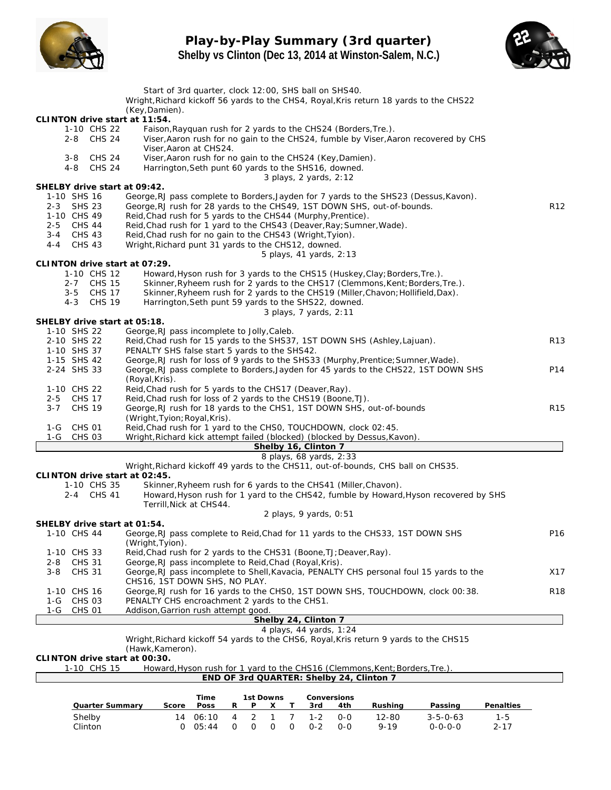

## **Play-by-Play Summary (3rd quarter) Shelby vs Clinton (Dec 13, 2014 at Winston-Salem, N.C.)**



|                                                      | Start of 3rd quarter, clock 12:00, SHS ball on SHS40.                                                                                                                                                                           |                 |
|------------------------------------------------------|---------------------------------------------------------------------------------------------------------------------------------------------------------------------------------------------------------------------------------|-----------------|
|                                                      | Wright, Richard kickoff 56 yards to the CHS4, Royal, Kris return 18 yards to the CHS22<br>(Key, Damien).                                                                                                                        |                 |
| CLINTON drive start at 11:54.                        |                                                                                                                                                                                                                                 |                 |
| 1-10 CHS 22<br>2-8 CHS 24                            | Faison, Rayquan rush for 2 yards to the CHS24 (Borders, Tre.).<br>Viser, Aaron rush for no gain to the CHS24, fumble by Viser, Aaron recovered by CHS                                                                           |                 |
|                                                      | Viser, Aaron at CHS24.                                                                                                                                                                                                          |                 |
| <b>CHS 24</b><br>3-8                                 | Viser, Aaron rush for no gain to the CHS24 (Key, Damien).                                                                                                                                                                       |                 |
| <b>CHS 24</b><br>$4 - 8$                             | Harrington, Seth punt 60 yards to the SHS16, downed.<br>3 plays, 2 yards, 2:12                                                                                                                                                  |                 |
| SHELBY drive start at 09:42.                         |                                                                                                                                                                                                                                 |                 |
| 1-10 SHS 16                                          | George, RJ pass complete to Borders, Jayden for 7 yards to the SHS23 (Dessus, Kavon).                                                                                                                                           |                 |
| 2-3 SHS 23                                           | George, RJ rush for 28 yards to the CHS49, 1ST DOWN SHS, out-of-bounds.                                                                                                                                                         | R <sub>12</sub> |
| 1-10 CHS 49<br>2-5 CHS 44                            | Reid, Chad rush for 5 yards to the CHS44 (Murphy, Prentice).<br>Reid, Chad rush for 1 yard to the CHS43 (Deaver, Ray; Sumner, Wade).                                                                                            |                 |
| 3-4 CHS 43                                           | Reid, Chad rush for no gain to the CHS43 (Wright, Tyion).                                                                                                                                                                       |                 |
| <b>CHS 43</b><br>$4 - 4$                             | Wright, Richard punt 31 yards to the CHS12, downed.                                                                                                                                                                             |                 |
|                                                      | 5 plays, 41 yards, 2:13                                                                                                                                                                                                         |                 |
| CLINTON drive start at 07:29.<br>1-10 CHS 12         | Howard, Hyson rush for 3 yards to the CHS15 (Huskey, Clay; Borders, Tre.).                                                                                                                                                      |                 |
| 2-7 CHS 15                                           | Skinner, Ryheem rush for 2 yards to the CHS17 (Clemmons, Kent; Borders, Tre.).                                                                                                                                                  |                 |
| 3-5 CHS 17                                           | Skinner, Ryheem rush for 2 yards to the CHS19 (Miller, Chavon; Hollifield, Dax).                                                                                                                                                |                 |
| 4-3 CHS 19                                           | Harrington, Seth punt 59 yards to the SHS22, downed.                                                                                                                                                                            |                 |
| SHELBY drive start at 05:18.                         | 3 plays, 7 yards, 2:11                                                                                                                                                                                                          |                 |
| 1-10 SHS 22                                          | George, RJ pass incomplete to Jolly, Caleb.                                                                                                                                                                                     |                 |
| 2-10 SHS 22                                          | Reid, Chad rush for 15 yards to the SHS37, 1ST DOWN SHS (Ashley, Lajuan).                                                                                                                                                       | R <sub>13</sub> |
| 1-10 SHS 37                                          | PENALTY SHS false start 5 yards to the SHS42.                                                                                                                                                                                   |                 |
| 1-15 SHS 42<br>2-24 SHS 33                           | George, RJ rush for loss of 9 yards to the SHS33 (Murphy, Prentice; Sumner, Wade).<br>George, RJ pass complete to Borders, Jayden for 45 yards to the CHS22, 1ST DOWN SHS                                                       | P14             |
|                                                      | (Royal, Kris).                                                                                                                                                                                                                  |                 |
| 1-10 CHS 22                                          | Reid, Chad rush for 5 yards to the CHS17 (Deaver, Ray).                                                                                                                                                                         |                 |
| <b>CHS 17</b><br>$2 - 5$                             | Reid, Chad rush for loss of 2 yards to the CHS19 (Boone, TJ).                                                                                                                                                                   |                 |
| $3 - 7$<br><b>CHS 19</b>                             | George, RJ rush for 18 yards to the CHS1, 1ST DOWN SHS, out-of-bounds                                                                                                                                                           | R <sub>15</sub> |
| 1-G CHS 01                                           | (Wright, Tyion; Royal, Kris).<br>Reid, Chad rush for 1 yard to the CHSO, TOUCHDOWN, clock 02:45.                                                                                                                                |                 |
| <b>CHS 03</b><br>1-G                                 | Wright, Richard kick attempt failed (blocked) (blocked by Dessus, Kavon).                                                                                                                                                       |                 |
|                                                      | Shelby 16, Clinton 7                                                                                                                                                                                                            |                 |
|                                                      | 8 plays, 68 yards, 2:33                                                                                                                                                                                                         |                 |
| CLINTON drive start at 02:45.                        | Wright, Richard kickoff 49 yards to the CHS11, out-of-bounds, CHS ball on CHS35.                                                                                                                                                |                 |
| 1-10 CHS 35                                          | Skinner, Ryheem rush for 6 yards to the CHS41 (Miller, Chavon).                                                                                                                                                                 |                 |
| 2-4 CHS 41                                           | Howard, Hyson rush for 1 yard to the CHS42, fumble by Howard, Hyson recovered by SHS                                                                                                                                            |                 |
|                                                      | Terrill, Nick at CHS44.                                                                                                                                                                                                         |                 |
| SHELBY drive start at 01:54.                         | $2$ plays, 9 yards, 0:51                                                                                                                                                                                                        |                 |
| 1-10 CHS 44                                          | George, RJ pass complete to Reid, Chad for 11 yards to the CHS33, 1ST DOWN SHS                                                                                                                                                  | P16             |
|                                                      | (Wright, Tyion).                                                                                                                                                                                                                |                 |
| 1-10 CHS 33                                          | Reid, Chad rush for 2 yards to the CHS31 (Boone, TJ; Deaver, Ray).                                                                                                                                                              |                 |
| <b>CHS 31</b><br>$2 - 8$<br><b>CHS 31</b><br>$3 - 8$ | George, RJ pass incomplete to Reid, Chad (Royal, Kris).<br>George, RJ pass incomplete to Shell, Kavacia, PENALTY CHS personal foul 15 yards to the                                                                              | X17             |
|                                                      | CHS16, 1ST DOWN SHS, NO PLAY.                                                                                                                                                                                                   |                 |
| 1-10 CHS 16                                          | George, RJ rush for 16 yards to the CHSO, 1ST DOWN SHS, TOUCHDOWN, clock 00:38.                                                                                                                                                 | <b>R18</b>      |
| 1-G CHS 03                                           | PENALTY CHS encroachment 2 yards to the CHS1.                                                                                                                                                                                   |                 |
| <b>CHS 01</b><br>1-G                                 | Addison, Garrion rush attempt good.                                                                                                                                                                                             |                 |
|                                                      | Shelby 24, Clinton 7<br>4 plays, 44 yards, 1:24                                                                                                                                                                                 |                 |
|                                                      | Wright, Richard kickoff 54 yards to the CHS6, Royal, Kris return 9 yards to the CHS15                                                                                                                                           |                 |
|                                                      | (Hawk, Kameron).                                                                                                                                                                                                                |                 |
| CLINTON drive start at 00:30.                        |                                                                                                                                                                                                                                 |                 |
| 1-10 CHS 15                                          | Howard, Hyson rush for 1 yard to the CHS16 (Clemmons, Kent; Borders, Tre.).<br>END OF 3rd QUARTER: Shelby 24, Clinton 7                                                                                                         |                 |
|                                                      |                                                                                                                                                                                                                                 |                 |
|                                                      | Time<br>1st Downs<br>Conversions                                                                                                                                                                                                |                 |
| Quarter Summary                                      | Poss<br>P<br>Score<br>R<br>Х<br>3rd<br><u>4th</u><br><b>Rushing</b><br>Passing<br>Penalties<br>T                                                                                                                                |                 |
| Shelby<br>Clinton                                    | 14 06:10<br>$\overline{4}$<br>2<br>$1 - 2$<br>$0-0$<br>$12 - 80$<br>$3 - 5 - 0 - 63$<br>$1 - 5$<br>1<br>7<br>0 05:44<br>0<br>0<br>$\mathsf{O}$<br>$0 - 2$<br>$O-O$<br>$9 - 19$<br>$0 - 0 - 0 - 0$<br>$2 - 17$<br>$\overline{O}$ |                 |
|                                                      |                                                                                                                                                                                                                                 |                 |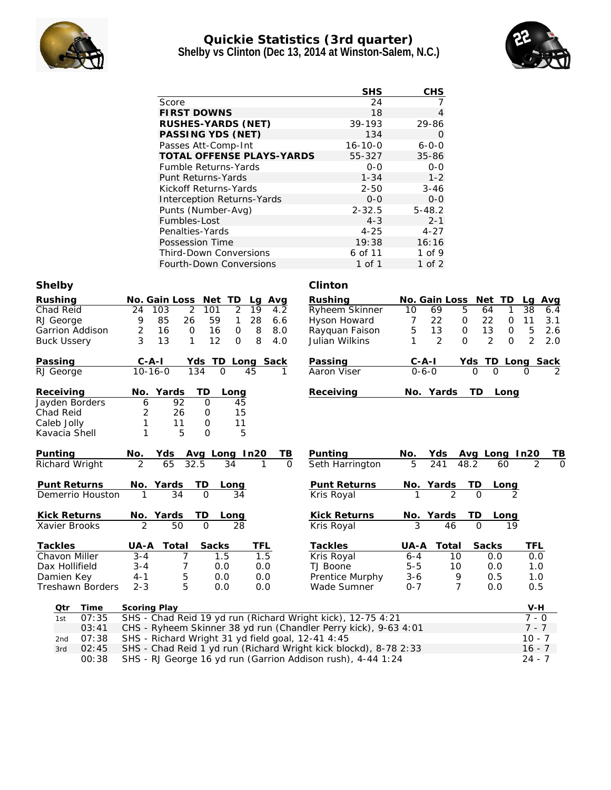

## **Quickie Statistics (3rd quarter) Shelby vs Clinton (Dec 13, 2014 at Winston-Salem, N.C.)**



|                           |                                                                                           | <b>SHS</b>                 | CHS                       |                                                                |
|---------------------------|-------------------------------------------------------------------------------------------|----------------------------|---------------------------|----------------------------------------------------------------|
|                           | Score                                                                                     | 24                         | 7                         |                                                                |
|                           | <b>FIRST DOWNS</b>                                                                        | 18                         | $\overline{4}$            |                                                                |
|                           | RUSHES-YARDS (NET)                                                                        | 39-193                     | 29-86                     |                                                                |
|                           | PASSING YDS (NET)                                                                         | 134                        | 0                         |                                                                |
|                           | Passes Att-Comp-Int                                                                       | $16 - 10 - 0$              | $6 - 0 - 0$               |                                                                |
|                           | TOTAL OFFENSE PLAYS-YARDS                                                                 | 55-327                     | 35-86                     |                                                                |
|                           | <b>Fumble Returns-Yards</b>                                                               | $0 - 0$                    | $O - O$                   |                                                                |
|                           | Punt Returns-Yards                                                                        | $1 - 34$                   | $1 - 2$                   |                                                                |
|                           | Kickoff Returns-Yards                                                                     | $2 - 50$                   | $3 - 46$                  |                                                                |
|                           | Interception Returns-Yards                                                                | $0 - 0$                    | $0-0$                     |                                                                |
|                           | Punts (Number-Avg)                                                                        | $2 - 32.5$                 | $5 - 48.2$                |                                                                |
|                           | Fumbles-Lost                                                                              | $4 - 3$                    | $2 - 1$                   |                                                                |
|                           | Penalties-Yards                                                                           | $4 - 25$                   | $4 - 27$                  |                                                                |
|                           | Possession Time                                                                           | 19:38                      | 16:16                     |                                                                |
|                           | <b>Third-Down Conversions</b>                                                             | 6 of 11                    | 1 of 9                    |                                                                |
|                           | Fourth-Down Conversions                                                                   | 1 of 1                     | $1$ of $2$                |                                                                |
| Shelby                    |                                                                                           | Clinton                    |                           |                                                                |
|                           |                                                                                           |                            |                           |                                                                |
| Rushing<br>Chad Reid      | No. Gain Loss<br>Net TD<br>Lg Avg<br>$\overline{2}$<br>24<br>103<br>101<br>2<br>19<br>4.2 | Rushing<br>Ryheem Skinner  | No. Gain Loss<br>10<br>69 | Net TD<br>Avg<br>Lg<br>5<br>38<br>64<br>1<br>6.4               |
| RJ George                 | 9<br>85<br>26<br>59<br>28<br>1<br>6.6                                                     | Hyson Howard               | 7<br>22                   | 22<br>$\mathbf 0$<br>11<br>3.1<br>0                            |
| Garrion Addison           | $\overline{2}$<br>16<br>$\circ$<br>16<br>0<br>8<br>8.0                                    | Rayquan Faison             | 5<br>13                   | 13<br>$\mathsf{O}\xspace$<br>5<br>0<br>2.6                     |
| <b>Buck Ussery</b>        | 3<br>13<br>12<br>8<br>1<br>0<br>4.0                                                       | Julian Wilkins             | 2<br>1                    | $\overline{2}$<br>$\overline{O}$<br>$\overline{2}$<br>0<br>2.0 |
|                           |                                                                                           |                            |                           |                                                                |
| Passing                   | $C - A - I$<br>Yds TD Long Sack                                                           | Passing                    | C-A-I                     | Yds TD Long Sack                                               |
| RJ George                 | $10 - 16 - 0$<br>134<br>$\mathbf{O}$<br>45                                                | Aaron Viser                | $0 - 6 - 0$               | $\Omega$                                                       |
|                           |                                                                                           |                            |                           |                                                                |
| Receiving                 | No.<br>Yards<br>TD<br>Long                                                                | Receiving                  | No. Yards                 | TD.<br>Long                                                    |
| Jayden Borders            | 92<br>$\mathcal{O}$<br>45<br>6                                                            |                            |                           |                                                                |
| Chad Reid                 | 2<br>26<br>15<br>0                                                                        |                            |                           |                                                                |
| Caleb Jolly               | 1<br>11<br>11<br>O                                                                        |                            |                           |                                                                |
| Kavacia Shell             | 1<br>5<br>$\Omega$<br>5                                                                   |                            |                           |                                                                |
|                           |                                                                                           |                            |                           |                                                                |
| Punting<br>Richard Wright | Avg Long In20<br>No.<br>Yds<br>TВ<br>$\mathcal{P}$<br>32.5<br>65<br>34<br>1<br>$\Omega$   | Punting<br>Seth Harrington | No.<br>Yds<br>241<br>5    | Avg Long In20<br>48.2<br>60                                    |
|                           |                                                                                           |                            |                           |                                                                |
| Punt Returns              | Yards<br>ТD<br>No.<br>Long                                                                | Punt Returns               | No. Yards                 | TD<br>Long                                                     |
| Demerrio Houston          | 34<br>$\Omega$<br>34<br>1                                                                 | Kris Royal                 |                           |                                                                |
|                           |                                                                                           |                            |                           |                                                                |
| Kick Returns              | No. Yards<br>TD<br>Long                                                                   | <b>Kick Returns</b>        | No. Yards                 | TD<br>Long                                                     |
| Xavier Brooks             | $\overline{50}$<br>$\Omega$<br>28                                                         | Kris Royal                 | 46                        | $\Omega$                                                       |
|                           |                                                                                           |                            |                           |                                                                |
| Tackles                   | Total<br>Sacks<br>TFL<br>UA-A                                                             | Tackles                    | Total<br>UA-A             | Sacks<br>TFL                                                   |
| Chavon Miller             | 1.5<br>1.5<br>$3 - 4$<br>7                                                                | Kris Royal                 | $6 - 4$                   | 10<br>0.0<br>0.0                                               |
| Dax Hollifield            | $\overline{7}$<br>0.0<br>$3 - 4$<br>0.0                                                   | TJ Boone                   | $5 - 5$                   | 10<br>0.0<br>1.0                                               |
| Damien Key                | 5<br>$4 - 1$<br>0.0<br>0.0                                                                | Prentice Murphy            | $3 - 6$                   | 9<br>0.5<br>1.0                                                |
| <b>Treshawn Borders</b>   | 5<br>$2 - 3$<br>0.0<br>0.0                                                                | Wade Sumner                | $0 - 7$                   | $\overline{7}$<br>0.0<br>0.5                                   |
|                           |                                                                                           |                            |                           |                                                                |

| - Qtr | Time      | Scoring Play                                                           | V-H      |
|-------|-----------|------------------------------------------------------------------------|----------|
|       | 1st 07:35 | SHS - Chad Reid 19 yd run (Richard Wright kick), 12-75 4:21            | 7 - 0    |
|       | 03:41     | CHS - Ryheem Skinner 38 yd run (Chandler Perry kick), 9-63 4:01        | 7 - 7    |
|       |           | 2nd $07:38$ SHS - Richard Wright 31 yd field goal, 12-41 4:45          | $10 - 7$ |
| 3rd   |           | 02:45 SHS - Chad Reid 1 yd run (Richard Wright kick blockd), 8-78 2:33 | $16 - 7$ |
|       | 00:38     | SHS - RJ George 16 yd run (Garrion Addison rush), 4-44 1:24            | 24 - 7   |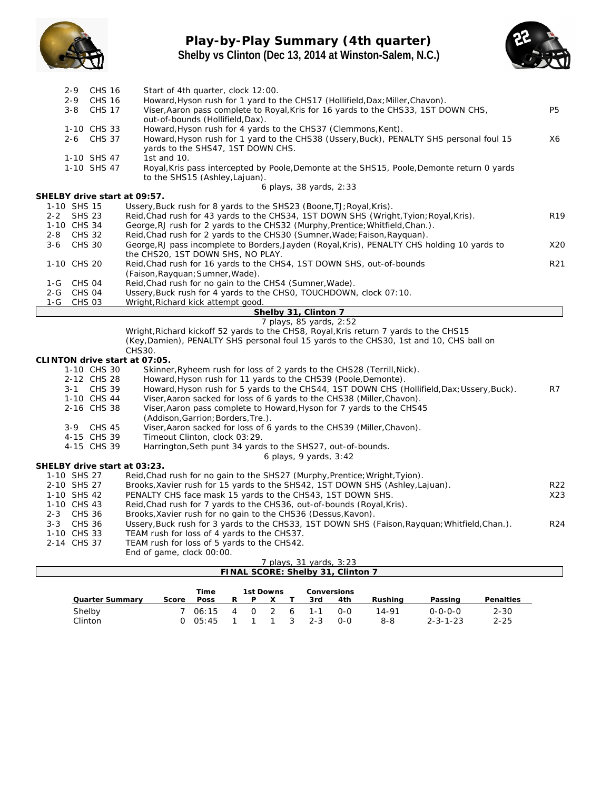

## **Play-by-Play Summary (4th quarter) Shelby vs Clinton (Dec 13, 2014 at Winston-Salem, N.C.)**



| $2 - 9$                       | <b>CHS 16</b>                  | Start of 4th quarter, clock 12:00.                                                                                                                                               |                 |
|-------------------------------|--------------------------------|----------------------------------------------------------------------------------------------------------------------------------------------------------------------------------|-----------------|
| $2 - 9$<br>$3 - 8$            | <b>CHS 16</b><br><b>CHS 17</b> | Howard, Hyson rush for 1 yard to the CHS17 (Hollifield, Dax; Miller, Chavon).                                                                                                    | <b>P5</b>       |
|                               |                                | Viser, Aaron pass complete to Royal, Kris for 16 yards to the CHS33, 1ST DOWN CHS,<br>out-of-bounds (Hollifield, Dax).                                                           |                 |
|                               | 1-10 CHS 33                    | Howard, Hyson rush for 4 yards to the CHS37 (Clemmons, Kent).                                                                                                                    |                 |
|                               | 2-6 CHS 37                     | Howard, Hyson rush for 1 yard to the CHS38 (Ussery, Buck), PENALTY SHS personal foul 15                                                                                          | X6              |
|                               |                                | yards to the SHS47, 1ST DOWN CHS.                                                                                                                                                |                 |
|                               | 1-10 SHS 47                    | 1st and 10.                                                                                                                                                                      |                 |
|                               | 1-10 SHS 47                    | Royal, Kris pass intercepted by Poole, Demonte at the SHS15, Poole, Demonte return 0 yards<br>to the SHS15 (Ashley, Lajuan).                                                     |                 |
|                               |                                | 6 plays, 38 yards, 2:33                                                                                                                                                          |                 |
| SHELBY drive start at 09:57.  |                                |                                                                                                                                                                                  |                 |
| 1-10 SHS 15                   |                                | Ussery, Buck rush for 8 yards to the SHS23 (Boone, TJ; Royal, Kris).                                                                                                             |                 |
| 2-2 SHS 23<br>1-10 CHS 34     |                                | Reid, Chad rush for 43 yards to the CHS34, 1ST DOWN SHS (Wright, Tyion; Royal, Kris).                                                                                            | R <sub>19</sub> |
| $2 - 8$                       | <b>CHS 32</b>                  | George, RJ rush for 2 yards to the CHS32 (Murphy, Prentice; Whitfield, Chan.).<br>Reid, Chad rush for 2 yards to the CHS30 (Sumner, Wade; Faison, Rayquan).                      |                 |
| $3 - 6$                       | <b>CHS 30</b>                  | George, RJ pass incomplete to Borders, Jayden (Royal, Kris), PENALTY CHS holding 10 yards to                                                                                     | X20             |
|                               |                                | the CHS20, 1ST DOWN SHS, NO PLAY.                                                                                                                                                |                 |
| 1-10 CHS 20                   |                                | Reid, Chad rush for 16 yards to the CHS4, 1ST DOWN SHS, out-of-bounds                                                                                                            | R21             |
|                               |                                | (Faison, Rayguan; Sumner, Wade).                                                                                                                                                 |                 |
| CHS 04<br>$1-G$               |                                | Reid, Chad rush for no gain to the CHS4 (Sumner, Wade).                                                                                                                          |                 |
| 2-G CHS 04                    |                                | Ussery, Buck rush for 4 yards to the CHSO, TOUCHDOWN, clock 07:10.                                                                                                               |                 |
| 1-G                           | <b>CHS 03</b>                  | Wright, Richard kick attempt good.                                                                                                                                               |                 |
|                               |                                | Shelby 31, Clinton 7                                                                                                                                                             |                 |
|                               |                                | 7 plays, 85 yards, 2:52                                                                                                                                                          |                 |
|                               |                                | Wright, Richard kickoff 52 yards to the CHS8, Royal, Kris return 7 yards to the CHS15<br>(Key, Damien), PENALTY SHS personal foul 15 yards to the CHS30, 1st and 10, CHS ball on |                 |
|                               |                                | CHS30.                                                                                                                                                                           |                 |
| CLINTON drive start at 07:05. |                                |                                                                                                                                                                                  |                 |
|                               | 1-10 CHS 30                    | Skinner, Ryheem rush for loss of 2 yards to the CHS28 (Terrill, Nick).                                                                                                           |                 |
|                               | 2-12 CHS 28                    | Howard, Hyson rush for 11 yards to the CHS39 (Poole, Demonte).                                                                                                                   |                 |
|                               | 3-1 CHS 39                     | Howard, Hyson rush for 5 yards to the CHS44, 1ST DOWN CHS (Hollifield, Dax; Ussery, Buck).                                                                                       | R7              |
|                               | 1-10 CHS 44                    | Viser, Aaron sacked for loss of 6 yards to the CHS38 (Miller, Chavon).                                                                                                           |                 |
|                               | 2-16 CHS 38                    | Viser, Aaron pass complete to Howard, Hyson for 7 yards to the CHS45                                                                                                             |                 |
|                               |                                | (Addison, Garrion; Borders, Tre.).                                                                                                                                               |                 |
|                               | 3-9 CHS 45                     | Viser, Aaron sacked for loss of 6 yards to the CHS39 (Miller, Chavon).                                                                                                           |                 |
|                               | 4-15 CHS 39                    | Timeout Clinton, clock 03:29.                                                                                                                                                    |                 |
|                               | 4-15 CHS 39                    | Harrington, Seth punt 34 yards to the SHS27, out-of-bounds.                                                                                                                      |                 |
|                               |                                | 6 plays, 9 yards, 3:42                                                                                                                                                           |                 |
| SHELBY drive start at 03:23.  |                                |                                                                                                                                                                                  |                 |
| 1-10 SHS 27<br>2-10 SHS 27    |                                | Reid, Chad rush for no gain to the SHS27 (Murphy, Prentice; Wright, Tyion).<br>Brooks, Xavier rush for 15 yards to the SHS42, 1ST DOWN SHS (Ashley, Lajuan).                     | R22             |
| 1-10 SHS 42                   |                                | PENALTY CHS face mask 15 yards to the CHS43, 1ST DOWN SHS.                                                                                                                       | X23             |
| 1-10 CHS 43                   |                                | Reid, Chad rush for 7 yards to the CHS36, out-of-bounds (Royal, Kris).                                                                                                           |                 |
| 2-3 CHS 36                    |                                | Brooks, Xavier rush for no gain to the CHS36 (Dessus, Kavon).                                                                                                                    |                 |
| 3-3 CHS 36                    |                                | Ussery, Buck rush for 3 yards to the CHS33, 1ST DOWN SHS (Faison, Rayquan; Whitfield, Chan.).                                                                                    | R24             |
| 1-10 CHS 33                   |                                | TEAM rush for loss of 4 yards to the CHS37.                                                                                                                                      |                 |
| 2-14 CHS 37                   |                                | TEAM rush for loss of 5 yards to the CHS42.                                                                                                                                      |                 |
|                               |                                | End of game, clock 00:00.                                                                                                                                                        |                 |
|                               |                                | 7 plays, 31 yards, 3:23                                                                                                                                                          |                 |

| FINAL SCORE: Shelby 31, Clinton 7 |      |   |           |  |  |     |     |                                        |         |           |  |  |
|-----------------------------------|------|---|-----------|--|--|-----|-----|----------------------------------------|---------|-----------|--|--|
|                                   |      |   |           |  |  |     |     |                                        |         |           |  |  |
|                                   | Time |   | 1st Downs |  |  |     |     |                                        |         |           |  |  |
| Quarter Summarv<br>Score          | Poss | R |           |  |  | 3rd | 4th | Rushina                                | Passing | Penalties |  |  |
|                                   |      |   |           |  |  |     |     | ' piavs, 31 vards, 3:23<br>Conversions |         |           |  |  |

| Quarter Summary | Score Poss R P X T 3rd  |  |  | 4th | Rushina | Passing          | Penalties |
|-----------------|-------------------------|--|--|-----|---------|------------------|-----------|
| Shelby          | 7 06:15 4 0 2 6 1-1 0-0 |  |  |     | 14-91   | 0-0-0-0          | 2-30      |
| Clinton         | 0 05:45 1 1 1 3 2-3 0-0 |  |  |     | 8-8     | $2 - 3 - 1 - 23$ | $2 - 25$  |